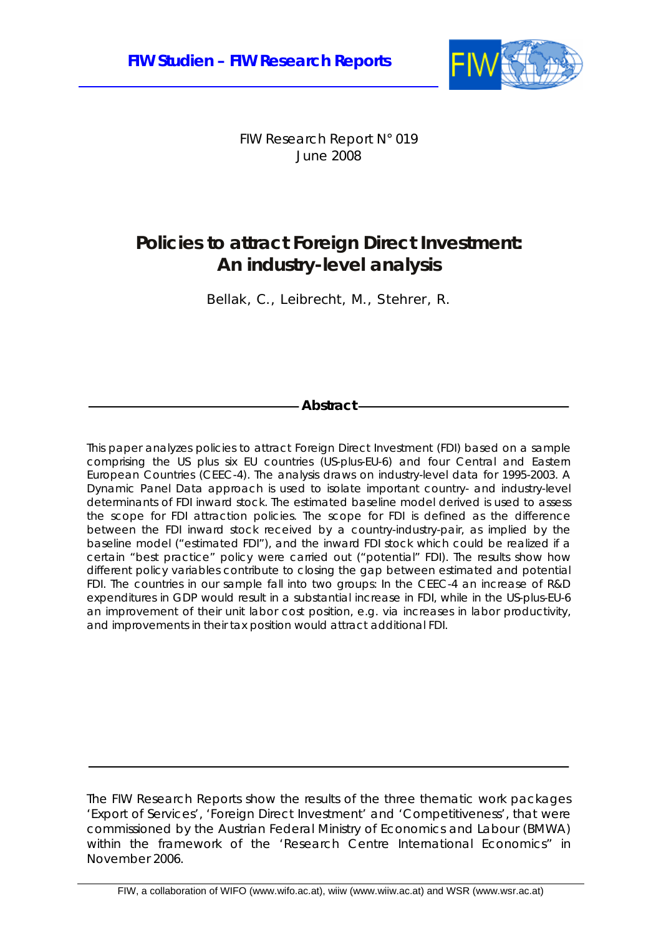

FIW Research Report N° 019 June 2008

# **Policies to attract Foreign Direct Investment: An industry-level analysis**

Bellak, C., Leibrecht, M., Stehrer, R.

## **Abstract**

This paper analyzes policies to attract Foreign Direct Investment (FDI) based on a sample comprising the US plus six EU countries (US-plus-EU-6) and four Central and Eastern European Countries (CEEC-4). The analysis draws on industry-level data for 1995-2003. A Dynamic Panel Data approach is used to isolate important country- and industry-level determinants of FDI inward stock. The estimated baseline model derived is used to assess the scope for FDI attraction policies. The scope for FDI is defined as the difference between the FDI inward stock received by a country-industry-pair, as implied by the baseline model ("estimated FDI"), and the inward FDI stock which could be realized if a certain "best practice" policy were carried out ("potential" FDI). The results show how different policy variables contribute to closing the gap between estimated and potential FDI. The countries in our sample fall into two groups: In the CEEC-4 an increase of R&D expenditures in GDP would result in a substantial increase in FDI, while in the US-plus-EU-6 an improvement of their unit labor cost position, e.g. via increases in labor productivity, and improvements in their tax position would attract additional FDI.

The FIW Research Reports show the results of the three thematic work packages 'Export of Services', 'Foreign Direct Investment' and 'Competitiveness', that were commissioned by the Austrian Federal Ministry of Economics and Labour (BMWA) within the framework of the 'Research Centre International Economics" in November 2006.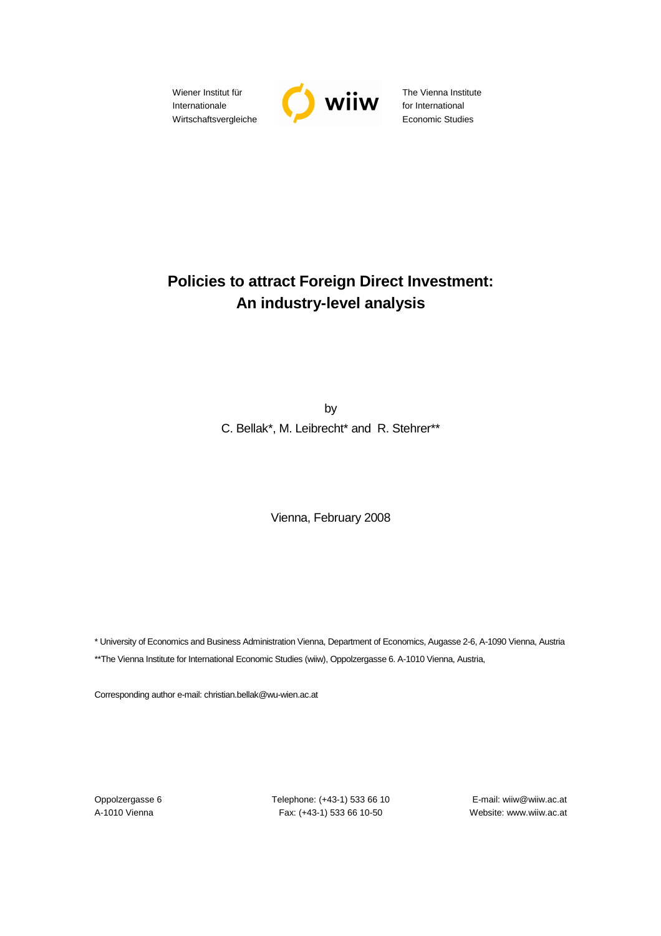Wiener Institut für Internationale Wirtschaftsvergleiche



The Vienna Institute for International Economic Studies

# **Policies to attract Foreign Direct Investment: An industry-level analysis**

by C. Bellak\*, M. Leibrecht\* and R. Stehrer\*\*

Vienna, February 2008

\* University of Economics and Business Administration Vienna, Department of Economics, Augasse 2-6, A-1090 Vienna, Austria \*\*The Vienna Institute for International Economic Studies (wiiw), Oppolzergasse 6. A-1010 Vienna, Austria,

Corresponding author e-mail: christian.bellak@wu-wien.ac.at

Oppolzergasse 6 Telephone: (+43-1) 533 66 10 E-mail: wiiw@wiiw.ac.at A-1010 Vienna Fax: (+43-1) 533 66 10-50 Website: www.wiiw.ac.at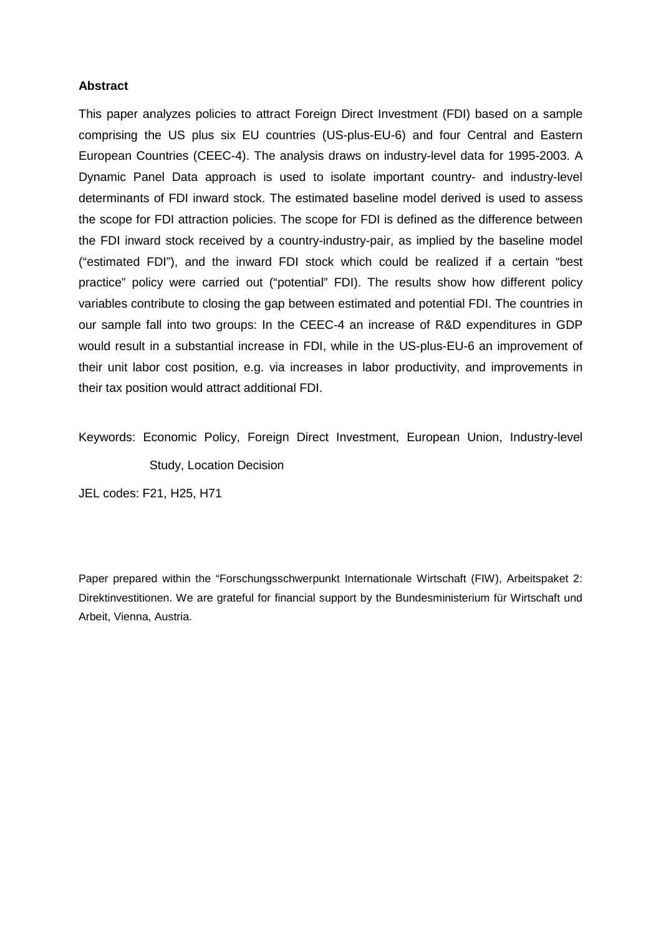## **Abstract**

This paper analyzes policies to attract Foreign Direct Investment (FDI) based on a sample comprising the US plus six EU countries (US-plus-EU-6) and four Central and Eastern European Countries (CEEC-4). The analysis draws on industry-level data for 1995-2003. A Dynamic Panel Data approach is used to isolate important country- and industry-level determinants of FDI inward stock. The estimated baseline model derived is used to assess the scope for FDI attraction policies. The scope for FDI is defined as the difference between the FDI inward stock received by a country-industry-pair, as implied by the baseline model ("estimated FDI"), and the inward FDI stock which could be realized if a certain "best practice" policy were carried out ("potential" FDI). The results show how different policy variables contribute to closing the gap between estimated and potential FDI. The countries in our sample fall into two groups: In the CEEC-4 an increase of R&D expenditures in GDP would result in a substantial increase in FDI, while in the US-plus-EU-6 an improvement of their unit labor cost position, e.g. via increases in labor productivity, and improvements in their tax position would attract additional FDI.

Keywords: Economic Policy, Foreign Direct Investment, European Union, Industry-level Study, Location Decision

JEL codes: F21, H25, H71

Paper prepared within the "Forschungsschwerpunkt Internationale Wirtschaft (FIW), Arbeitspaket 2: Direktinvestitionen. We are grateful for financial support by the Bundesministerium für Wirtschaft und Arbeit, Vienna, Austria.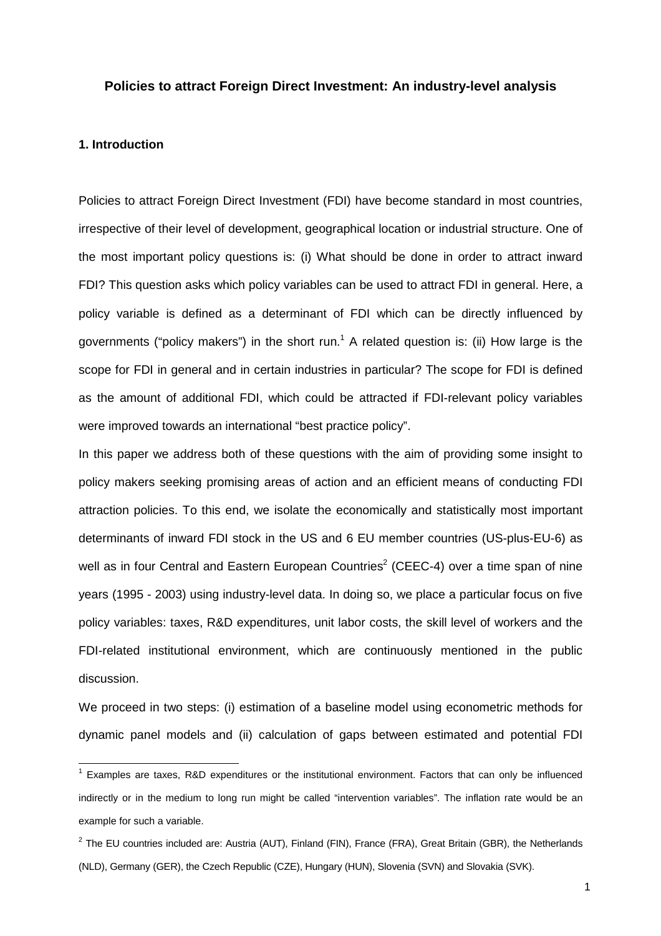## **Policies to attract Foreign Direct Investment: An industry-level analysis**

## **1. Introduction**

Policies to attract Foreign Direct Investment (FDI) have become standard in most countries, irrespective of their level of development, geographical location or industrial structure. One of the most important policy questions is: (i) What should be done in order to attract inward FDI? This question asks which policy variables can be used to attract FDI in general. Here, a policy variable is defined as a determinant of FDI which can be directly influenced by governments ("policy makers") in the short run.<sup>1</sup> A related question is: (ii) How large is the scope for FDI in general and in certain industries in particular? The scope for FDI is defined as the amount of additional FDI, which could be attracted if FDI-relevant policy variables were improved towards an international "best practice policy".

In this paper we address both of these questions with the aim of providing some insight to policy makers seeking promising areas of action and an efficient means of conducting FDI attraction policies. To this end, we isolate the economically and statistically most important determinants of inward FDI stock in the US and 6 EU member countries (US-plus-EU-6) as well as in four Central and Eastern European Countries<sup>2</sup> (CEEC-4) over a time span of nine years (1995 - 2003) using industry-level data. In doing so, we place a particular focus on five policy variables: taxes, R&D expenditures, unit labor costs, the skill level of workers and the FDI-related institutional environment, which are continuously mentioned in the public discussion.

We proceed in two steps: (i) estimation of a baseline model using econometric methods for dynamic panel models and (ii) calculation of gaps between estimated and potential FDI

 1 Examples are taxes, R&D expenditures or the institutional environment. Factors that can only be influenced indirectly or in the medium to long run might be called "intervention variables". The inflation rate would be an example for such a variable.

<sup>&</sup>lt;sup>2</sup> The EU countries included are: Austria (AUT), Finland (FIN), France (FRA), Great Britain (GBR), the Netherlands (NLD), Germany (GER), the Czech Republic (CZE), Hungary (HUN), Slovenia (SVN) and Slovakia (SVK).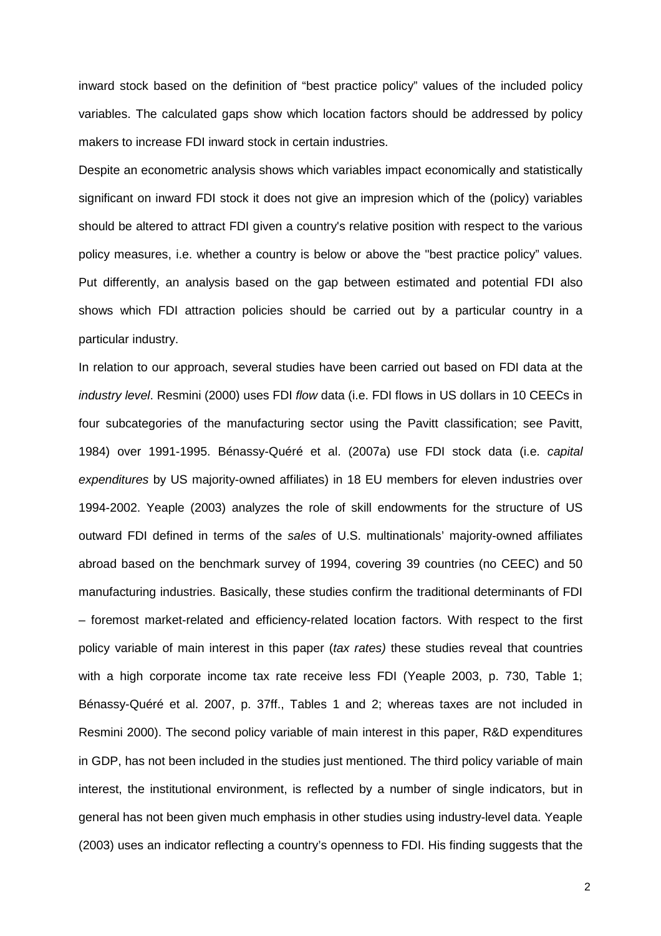inward stock based on the definition of "best practice policy" values of the included policy variables. The calculated gaps show which location factors should be addressed by policy makers to increase FDI inward stock in certain industries.

Despite an econometric analysis shows which variables impact economically and statistically significant on inward FDI stock it does not give an impresion which of the (policy) variables should be altered to attract FDI given a country's relative position with respect to the various policy measures, i.e. whether a country is below or above the "best practice policy" values. Put differently, an analysis based on the gap between estimated and potential FDI also shows which FDI attraction policies should be carried out by a particular country in a particular industry.

In relation to our approach, several studies have been carried out based on FDI data at the industry level. Resmini (2000) uses FDI flow data (i.e. FDI flows in US dollars in 10 CEECs in four subcategories of the manufacturing sector using the Pavitt classification; see Pavitt, 1984) over 1991-1995. Bénassy-Quéré et al. (2007a) use FDI stock data (i.e. capital expenditures by US majority-owned affiliates) in 18 EU members for eleven industries over 1994-2002. Yeaple (2003) analyzes the role of skill endowments for the structure of US outward FDI defined in terms of the sales of U.S. multinationals' majority-owned affiliates abroad based on the benchmark survey of 1994, covering 39 countries (no CEEC) and 50 manufacturing industries. Basically, these studies confirm the traditional determinants of FDI – foremost market-related and efficiency-related location factors. With respect to the first policy variable of main interest in this paper (tax rates) these studies reveal that countries with a high corporate income tax rate receive less FDI (Yeaple 2003, p. 730, Table 1; Bénassy-Quéré et al. 2007, p. 37ff., Tables 1 and 2; whereas taxes are not included in Resmini 2000). The second policy variable of main interest in this paper, R&D expenditures in GDP, has not been included in the studies just mentioned. The third policy variable of main interest, the institutional environment, is reflected by a number of single indicators, but in general has not been given much emphasis in other studies using industry-level data. Yeaple (2003) uses an indicator reflecting a country's openness to FDI. His finding suggests that the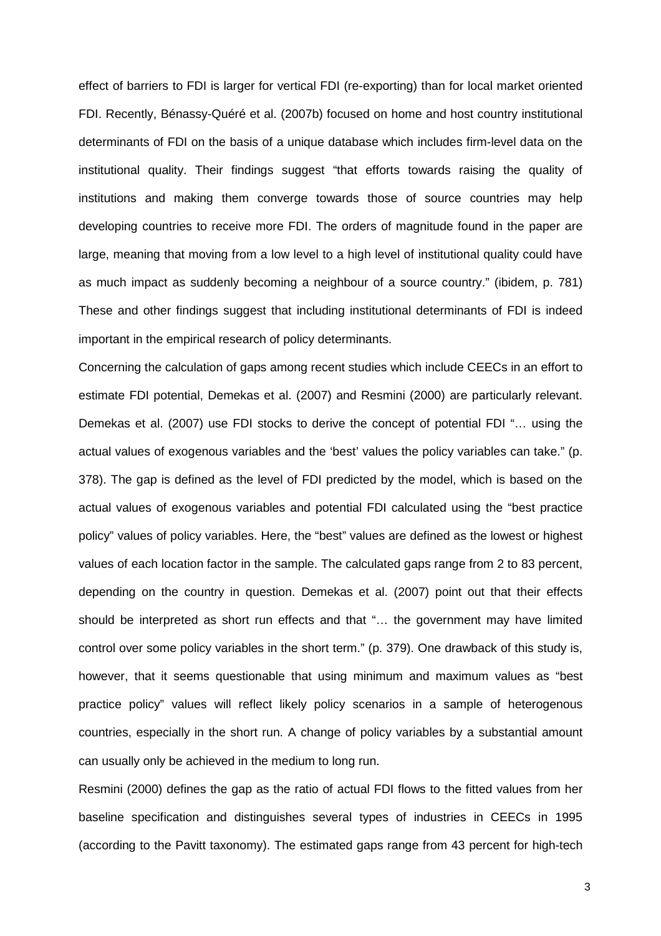effect of barriers to FDI is larger for vertical FDI (re-exporting) than for local market oriented FDI. Recently, Bénassy-Quéré et al. (2007b) focused on home and host country institutional determinants of FDI on the basis of a unique database which includes firm-level data on the institutional quality. Their findings suggest "that efforts towards raising the quality of institutions and making them converge towards those of source countries may help developing countries to receive more FDI. The orders of magnitude found in the paper are large, meaning that moving from a low level to a high level of institutional quality could have as much impact as suddenly becoming a neighbour of a source country." (ibidem, p. 781) These and other findings suggest that including institutional determinants of FDI is indeed important in the empirical research of policy determinants.

Concerning the calculation of gaps among recent studies which include CEECs in an effort to estimate FDI potential, Demekas et al. (2007) and Resmini (2000) are particularly relevant. Demekas et al. (2007) use FDI stocks to derive the concept of potential FDI "… using the actual values of exogenous variables and the 'best' values the policy variables can take." (p. 378). The gap is defined as the level of FDI predicted by the model, which is based on the actual values of exogenous variables and potential FDI calculated using the "best practice policy" values of policy variables. Here, the "best" values are defined as the lowest or highest values of each location factor in the sample. The calculated gaps range from 2 to 83 percent, depending on the country in question. Demekas et al. (2007) point out that their effects should be interpreted as short run effects and that "… the government may have limited control over some policy variables in the short term." (p. 379). One drawback of this study is, however, that it seems questionable that using minimum and maximum values as "best practice policy" values will reflect likely policy scenarios in a sample of heterogenous countries, especially in the short run. A change of policy variables by a substantial amount can usually only be achieved in the medium to long run.

Resmini (2000) defines the gap as the ratio of actual FDI flows to the fitted values from her baseline specification and distinguishes several types of industries in CEECs in 1995 (according to the Pavitt taxonomy). The estimated gaps range from 43 percent for high-tech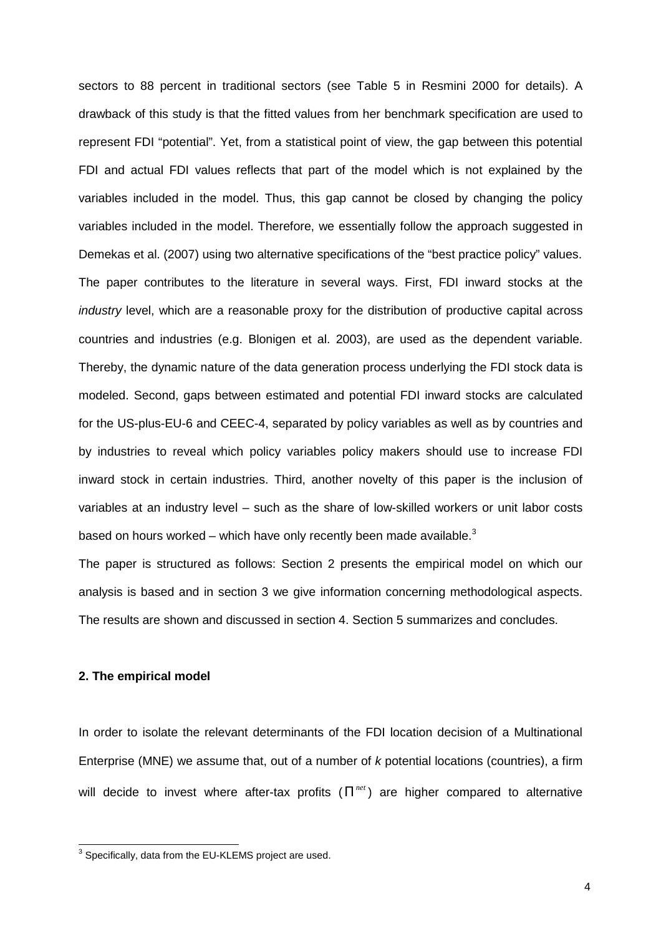sectors to 88 percent in traditional sectors (see Table 5 in Resmini 2000 for details). A drawback of this study is that the fitted values from her benchmark specification are used to represent FDI "potential". Yet, from a statistical point of view, the gap between this potential FDI and actual FDI values reflects that part of the model which is not explained by the variables included in the model. Thus, this gap cannot be closed by changing the policy variables included in the model. Therefore, we essentially follow the approach suggested in Demekas et al. (2007) using two alternative specifications of the "best practice policy" values. The paper contributes to the literature in several ways. First, FDI inward stocks at the industry level, which are a reasonable proxy for the distribution of productive capital across countries and industries (e.g. Blonigen et al. 2003), are used as the dependent variable. Thereby, the dynamic nature of the data generation process underlying the FDI stock data is modeled. Second, gaps between estimated and potential FDI inward stocks are calculated for the US-plus-EU-6 and CEEC-4, separated by policy variables as well as by countries and by industries to reveal which policy variables policy makers should use to increase FDI inward stock in certain industries. Third, another novelty of this paper is the inclusion of variables at an industry level – such as the share of low-skilled workers or unit labor costs based on hours worked – which have only recently been made available. $3$ 

The paper is structured as follows: Section 2 presents the empirical model on which our analysis is based and in section 3 we give information concerning methodological aspects. The results are shown and discussed in section 4. Section 5 summarizes and concludes.

## **2. The empirical model**

In order to isolate the relevant determinants of the FDI location decision of a Multinational Enterprise (MNE) we assume that, out of a number of  $k$  potential locations (countries), a firm will decide to invest where after-tax profits  $(\Pi^{net})$  are higher compared to alternative

<sup>&</sup>lt;sup>3</sup> Specifically, data from the EU-KLEMS project are used.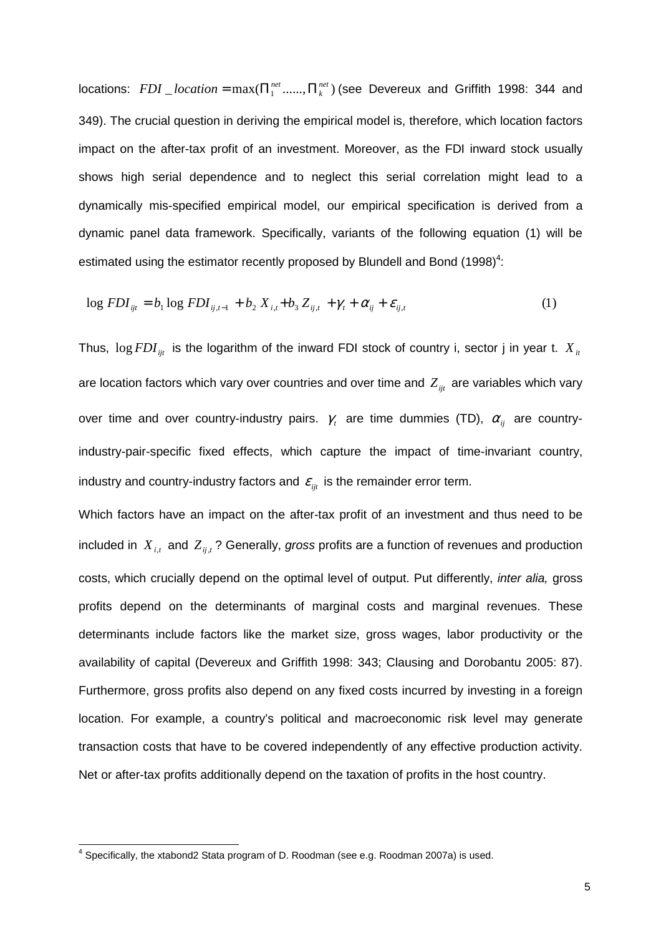locations:  $FDI\_location = \max(\prod_1^{net}, \dots, \prod_k^{net})$ *net*  $FDI\_location = \max(\prod_1^{net} \dots \dots \Pi_k^{net})$  (see Devereux and Griffith 1998: 344 and 349). The crucial question in deriving the empirical model is, therefore, which location factors impact on the after-tax profit of an investment. Moreover, as the FDI inward stock usually shows high serial dependence and to neglect this serial correlation might lead to a dynamically mis-specified empirical model, our empirical specification is derived from a dynamic panel data framework. Specifically, variants of the following equation (1) will be estimated using the estimator recently proposed by Blundell and Bond  $(1998)^4$ :

$$
\log FDI_{ijt} = b_1 \log FDI_{ij,t-1} + b_2 X_{i,t} + b_3 Z_{ij,t} + \gamma_t + \alpha_{ij} + \varepsilon_{ij,t}
$$
 (1)

Thus,  $\log FDI_{ijt}$  is the logarithm of the inward FDI stock of country i, sector j in year t.  $X_{it}$ are location factors which vary over countries and over time and  $Z_{ijt}$  are variables which vary over time and over country-industry pairs.  $\gamma$ , are time dummies (TD),  $\alpha_{_{ij}}$  are countryindustry-pair-specific fixed effects, which capture the impact of time-invariant country, industry and country-industry factors and  $\varepsilon_{ii}$  is the remainder error term.

Which factors have an impact on the after-tax profit of an investment and thus need to be included in  $X_{i,t}$  and  $Z_{ij,t}$ ? Generally, gross profits are a function of revenues and production costs, which crucially depend on the optimal level of output. Put differently, inter alia, gross profits depend on the determinants of marginal costs and marginal revenues. These determinants include factors like the market size, gross wages, labor productivity or the availability of capital (Devereux and Griffith 1998: 343; Clausing and Dorobantu 2005: 87). Furthermore, gross profits also depend on any fixed costs incurred by investing in a foreign location. For example, a country's political and macroeconomic risk level may generate transaction costs that have to be covered independently of any effective production activity. Net or after-tax profits additionally depend on the taxation of profits in the host country.

 4 Specifically, the xtabond2 Stata program of D. Roodman (see e.g. Roodman 2007a) is used.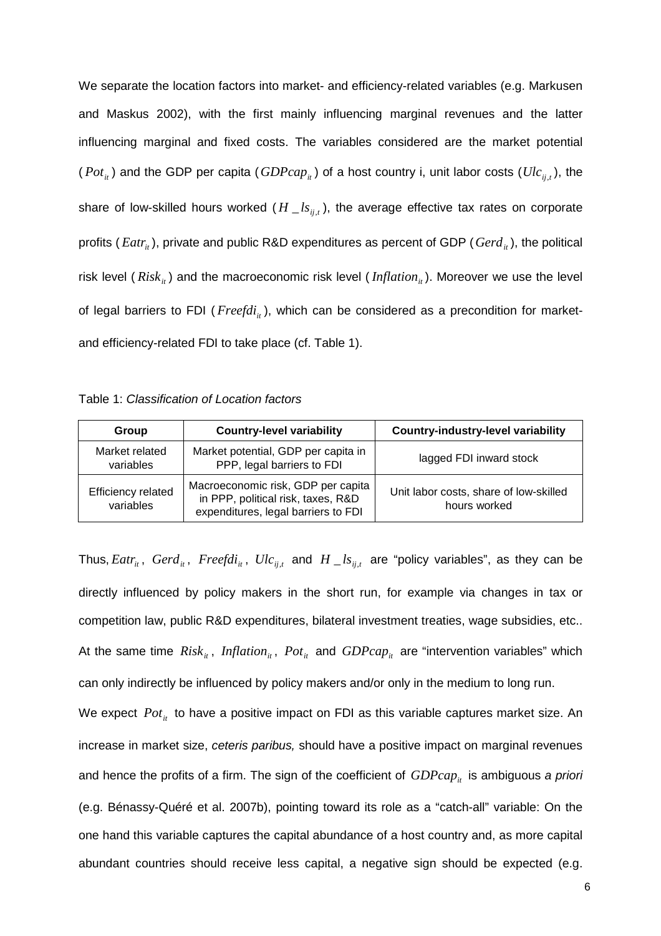We separate the location factors into market- and efficiency-related variables (e.g. Markusen and Maskus 2002), with the first mainly influencing marginal revenues and the latter influencing marginal and fixed costs. The variables considered are the market potential  $(Pot<sub>it</sub>)$  and the GDP per capita  $(GDPcap<sub>it</sub>)$  of a host country i, unit labor costs  $(Ulc<sub>ij,t</sub>)$ , the share of low-skilled hours worked ( $H\_{ls_{ij,t}}$ ), the average effective tax rates on corporate profits ( $Eatr_{it}$ ), private and public R&D expenditures as percent of GDP ( $Gerd_{it}$ ), the political risk level ( $Risk<sub>i</sub>$ ) and the macroeconomic risk level ( $Inflation<sub>i</sub>$ ). Moreover we use the level of legal barriers to FDI (*Freefdi<sub>ii</sub>*), which can be considered as a precondition for marketand efficiency-related FDI to take place (cf. Table 1).

| Table 1: Classification of Location factors |  |  |
|---------------------------------------------|--|--|
|---------------------------------------------|--|--|

| Group                           | <b>Country-level variability</b>                                                                                | <b>Country-industry-level variability</b>              |
|---------------------------------|-----------------------------------------------------------------------------------------------------------------|--------------------------------------------------------|
| Market related<br>variables     | Market potential, GDP per capita in<br>PPP, legal barriers to FDI                                               | lagged FDI inward stock                                |
| Efficiency related<br>variables | Macroeconomic risk, GDP per capita<br>in PPP, political risk, taxes, R&D<br>expenditures, legal barriers to FDI | Unit labor costs, share of low-skilled<br>hours worked |

Thus,  $Eatr_{it}$ ,  $Gerd_{it}$ ,  $Freefdi_{it}$ ,  $Ulc_{ij,t}$  and  $H \_ls_{ij,t}$  are "policy variables", as they can be directly influenced by policy makers in the short run, for example via changes in tax or competition law, public R&D expenditures, bilateral investment treaties, wage subsidies, etc.. At the same time  $Risk_{it}$ , *Inflation<sub>it</sub>*,  $Pot_{it}$  and  $GDPcap_{it}$  are "intervention variables" which can only indirectly be influenced by policy makers and/or only in the medium to long run. We expect  $Pot_{it}$  to have a positive impact on FDI as this variable captures market size. An increase in market size, ceteris paribus, should have a positive impact on marginal revenues and hence the profits of a firm. The sign of the coefficient of  $GDPcap<sub>i</sub>$  is ambiguous a priori (e.g. Bénassy-Quéré et al. 2007b), pointing toward its role as a "catch-all" variable: On the one hand this variable captures the capital abundance of a host country and, as more capital abundant countries should receive less capital, a negative sign should be expected (e.g.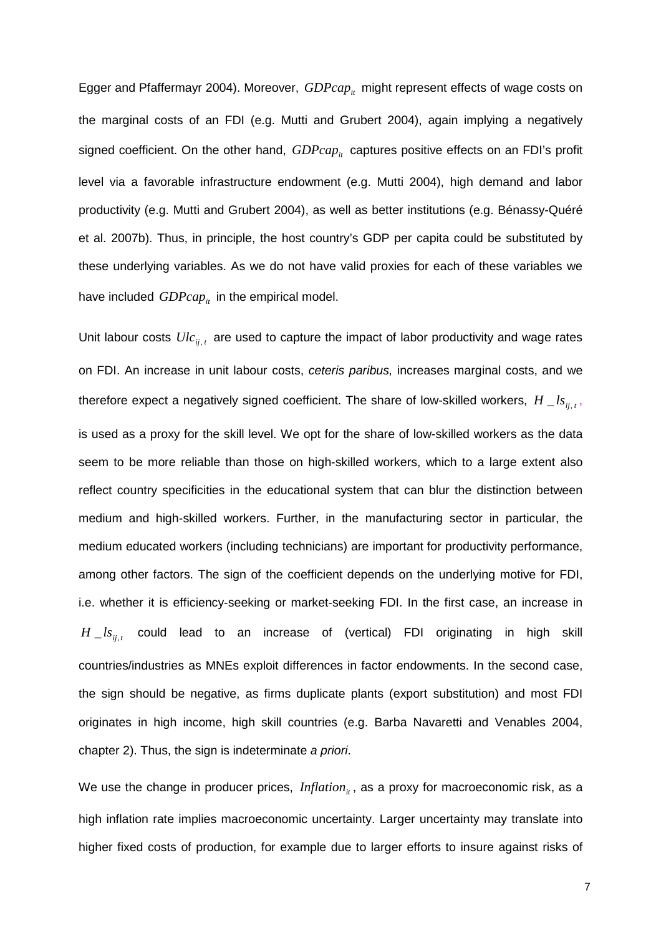Egger and Pfaffermayr 2004). Moreover, *GDPcap<sub>it</sub>* might represent effects of wage costs on the marginal costs of an FDI (e.g. Mutti and Grubert 2004), again implying a negatively signed coefficient. On the other hand,  $GDPcap_{ii}$  captures positive effects on an FDI's profit level via a favorable infrastructure endowment (e.g. Mutti 2004), high demand and labor productivity (e.g. Mutti and Grubert 2004), as well as better institutions (e.g. Bénassy-Quéré et al. 2007b). Thus, in principle, the host country's GDP per capita could be substituted by these underlying variables. As we do not have valid proxies for each of these variables we have included  $GDPcap_{it}$  in the empirical model.

Unit labour costs  $Ulc_{i,j,t}$  are used to capture the impact of labor productivity and wage rates on FDI. An increase in unit labour costs, ceteris paribus, increases marginal costs, and we therefore expect a negatively signed coefficient. The share of low-skilled workers,  $H\_{ls_{ij,t}}$ , is used as a proxy for the skill level. We opt for the share of low-skilled workers as the data seem to be more reliable than those on high-skilled workers, which to a large extent also reflect country specificities in the educational system that can blur the distinction between medium and high-skilled workers. Further, in the manufacturing sector in particular, the medium educated workers (including technicians) are important for productivity performance, among other factors. The sign of the coefficient depends on the underlying motive for FDI, i.e. whether it is efficiency-seeking or market-seeking FDI. In the first case, an increase in  $H\_{ls_{ij,t}}$  could lead to an increase of (vertical) FDI originating in high skill countries/industries as MNEs exploit differences in factor endowments. In the second case, the sign should be negative, as firms duplicate plants (export substitution) and most FDI originates in high income, high skill countries (e.g. Barba Navaretti and Venables 2004, chapter 2). Thus, the sign is indeterminate a priori.

We use the change in producer prices, *Inflation*<sub>it</sub>, as a proxy for macroeconomic risk, as a high inflation rate implies macroeconomic uncertainty. Larger uncertainty may translate into higher fixed costs of production, for example due to larger efforts to insure against risks of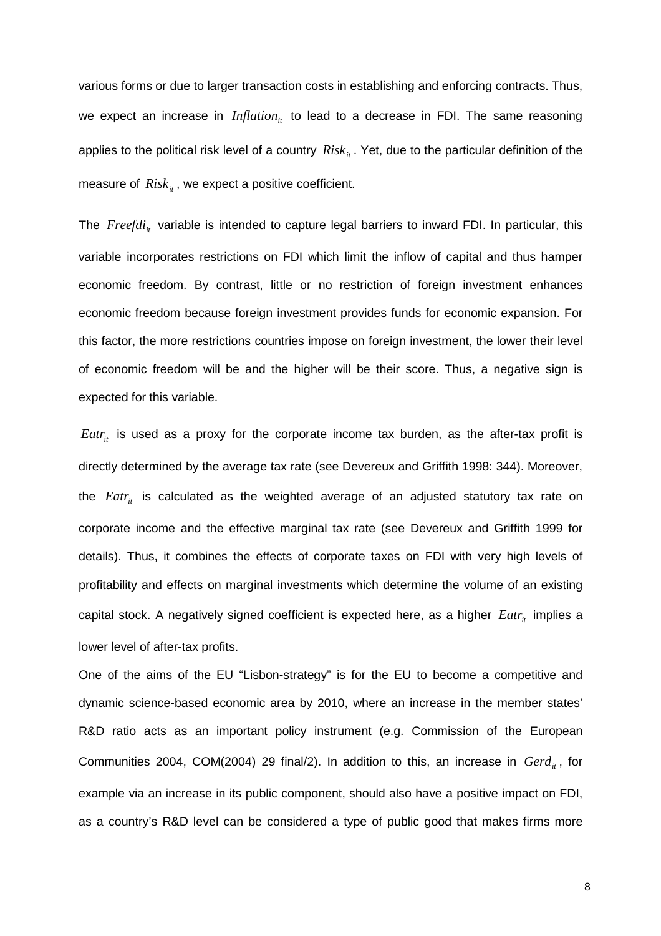various forms or due to larger transaction costs in establishing and enforcing contracts. Thus, we expect an increase in *Inflation*<sub>ii</sub> to lead to a decrease in FDI. The same reasoning applies to the political risk level of a country *Risk<sub>it</sub>*. Yet, due to the particular definition of the measure of  $Risk_{it}$ , we expect a positive coefficient.

The *Freefdi<sub>it</sub>* variable is intended to capture legal barriers to inward FDI. In particular, this variable incorporates restrictions on FDI which limit the inflow of capital and thus hamper economic freedom. By contrast, little or no restriction of foreign investment enhances economic freedom because foreign investment provides funds for economic expansion. For this factor, the more restrictions countries impose on foreign investment, the lower their level of economic freedom will be and the higher will be their score. Thus, a negative sign is expected for this variable.

 $Eatr_{it}$  is used as a proxy for the corporate income tax burden, as the after-tax profit is directly determined by the average tax rate (see Devereux and Griffith 1998: 344). Moreover, the *Eatr<sub>it</sub>* is calculated as the weighted average of an adjusted statutory tax rate on corporate income and the effective marginal tax rate (see Devereux and Griffith 1999 for details). Thus, it combines the effects of corporate taxes on FDI with very high levels of profitability and effects on marginal investments which determine the volume of an existing capital stock. A negatively signed coefficient is expected here, as a higher *Eatr<sub>it</sub>* implies a lower level of after-tax profits.

One of the aims of the EU "Lisbon-strategy" is for the EU to become a competitive and dynamic science-based economic area by 2010, where an increase in the member states' R&D ratio acts as an important policy instrument (e.g. Commission of the European Communities 2004, COM(2004) 29 final/2). In addition to this, an increase in *Gerd<sub>it</sub>*, for example via an increase in its public component, should also have a positive impact on FDI, as a country's R&D level can be considered a type of public good that makes firms more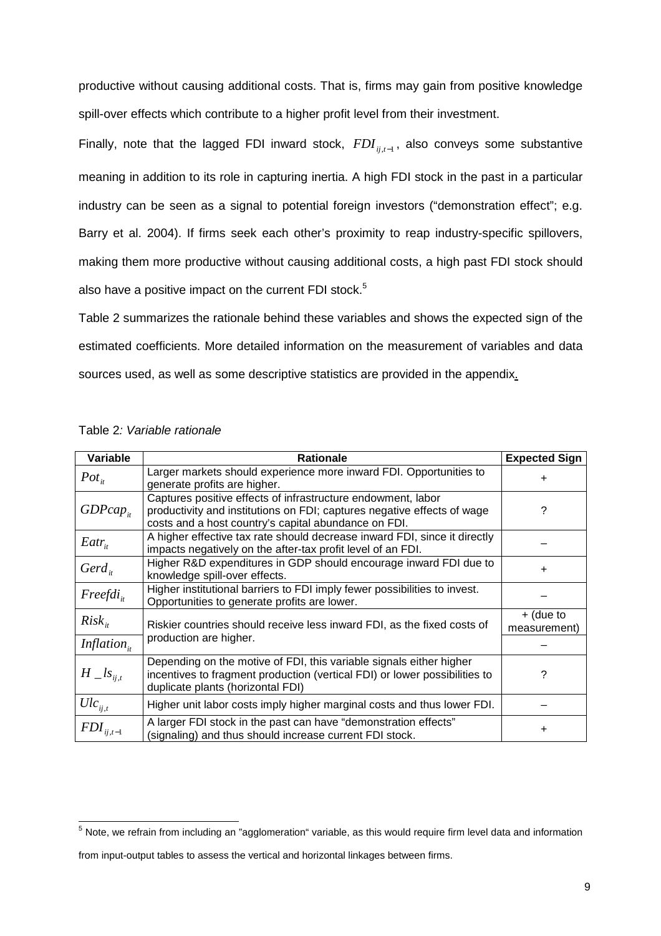productive without causing additional costs. That is, firms may gain from positive knowledge spill-over effects which contribute to a higher profit level from their investment.

Finally, note that the lagged FDI inward stock, *FDIij*,*t*−<sup>1</sup> , also conveys some substantive meaning in addition to its role in capturing inertia. A high FDI stock in the past in a particular industry can be seen as a signal to potential foreign investors ("demonstration effect"; e.g. Barry et al. 2004). If firms seek each other's proximity to reap industry-specific spillovers, making them more productive without causing additional costs, a high past FDI stock should also have a positive impact on the current FDI stock.<sup>5</sup>

Table 2 summarizes the rationale behind these variables and shows the expected sign of the estimated coefficients. More detailed information on the measurement of variables and data sources used, as well as some descriptive statistics are provided in the appendix.

| Variable                | <b>Rationale</b>                                                                                                                                                                                | <b>Expected Sign</b>        |
|-------------------------|-------------------------------------------------------------------------------------------------------------------------------------------------------------------------------------------------|-----------------------------|
| $Pot_{it}$              | Larger markets should experience more inward FDI. Opportunities to<br>generate profits are higher.                                                                                              | $\ddot{}$                   |
| $GDPcap_{ii}$           | Captures positive effects of infrastructure endowment, labor<br>productivity and institutions on FDI; captures negative effects of wage<br>costs and a host country's capital abundance on FDI. | ?                           |
| $Eatr_{it}$             | A higher effective tax rate should decrease inward FDI, since it directly<br>impacts negatively on the after-tax profit level of an FDI.                                                        |                             |
| $Gerd_{i}$              | Higher R&D expenditures in GDP should encourage inward FDI due to<br>knowledge spill-over effects.                                                                                              | $\ddot{}$                   |
| $Freefdi_{it}$          | Higher institutional barriers to FDI imply fewer possibilities to invest.<br>Opportunities to generate profits are lower.                                                                       |                             |
| $Risk_{it}$             | Riskier countries should receive less inward FDI, as the fixed costs of                                                                                                                         | $+$ (due to<br>measurement) |
| Inflation <sub>it</sub> | production are higher.                                                                                                                                                                          |                             |
| $H_{\_}ls_{ii,t}$       | Depending on the motive of FDI, this variable signals either higher<br>incentives to fragment production (vertical FDI) or lower possibilities to<br>duplicate plants (horizontal FDI)          | ?                           |
| $Ulc_{ij,t}$            | Higher unit labor costs imply higher marginal costs and thus lower FDI.                                                                                                                         |                             |
| $\mathit{FDI}_{ij,t-1}$ | A larger FDI stock in the past can have "demonstration effects"<br>(signaling) and thus should increase current FDI stock.                                                                      | ÷                           |

 5 Note, we refrain from including an "agglomeration" variable, as this would require firm level data and information

from input-output tables to assess the vertical and horizontal linkages between firms.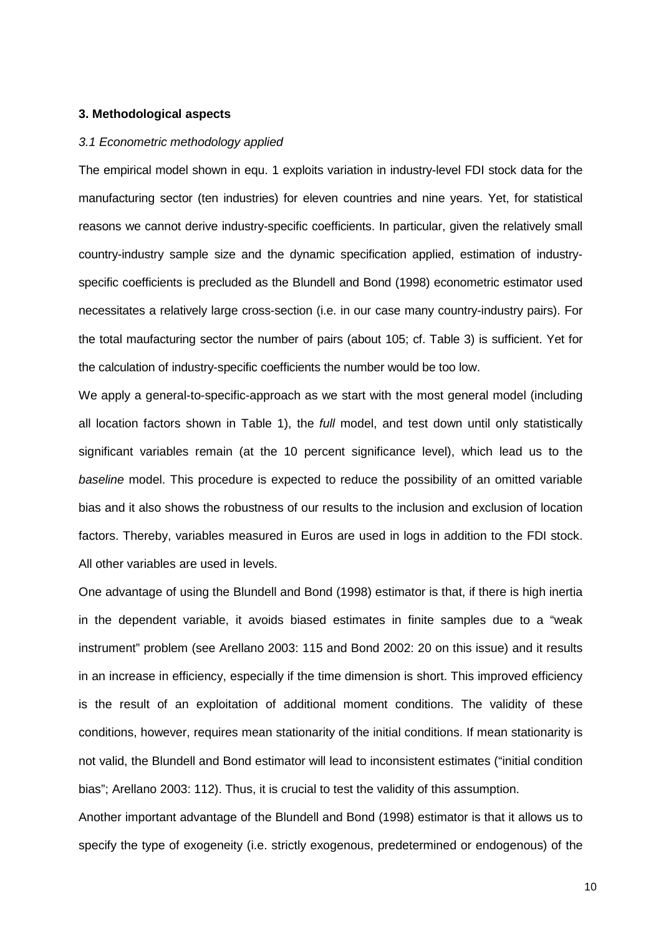#### **3. Methodological aspects**

#### 3.1 Econometric methodology applied

The empirical model shown in equ. 1 exploits variation in industry-level FDI stock data for the manufacturing sector (ten industries) for eleven countries and nine years. Yet, for statistical reasons we cannot derive industry-specific coefficients. In particular, given the relatively small country-industry sample size and the dynamic specification applied, estimation of industryspecific coefficients is precluded as the Blundell and Bond (1998) econometric estimator used necessitates a relatively large cross-section (i.e. in our case many country-industry pairs). For the total maufacturing sector the number of pairs (about 105; cf. Table 3) is sufficient. Yet for the calculation of industry-specific coefficients the number would be too low.

We apply a general-to-specific-approach as we start with the most general model (including all location factors shown in Table 1), the full model, and test down until only statistically significant variables remain (at the 10 percent significance level), which lead us to the baseline model. This procedure is expected to reduce the possibility of an omitted variable bias and it also shows the robustness of our results to the inclusion and exclusion of location factors. Thereby, variables measured in Euros are used in logs in addition to the FDI stock. All other variables are used in levels.

One advantage of using the Blundell and Bond (1998) estimator is that, if there is high inertia in the dependent variable, it avoids biased estimates in finite samples due to a "weak instrument" problem (see Arellano 2003: 115 and Bond 2002: 20 on this issue) and it results in an increase in efficiency, especially if the time dimension is short. This improved efficiency is the result of an exploitation of additional moment conditions. The validity of these conditions, however, requires mean stationarity of the initial conditions. If mean stationarity is not valid, the Blundell and Bond estimator will lead to inconsistent estimates ("initial condition bias"; Arellano 2003: 112). Thus, it is crucial to test the validity of this assumption.

Another important advantage of the Blundell and Bond (1998) estimator is that it allows us to specify the type of exogeneity (i.e. strictly exogenous, predetermined or endogenous) of the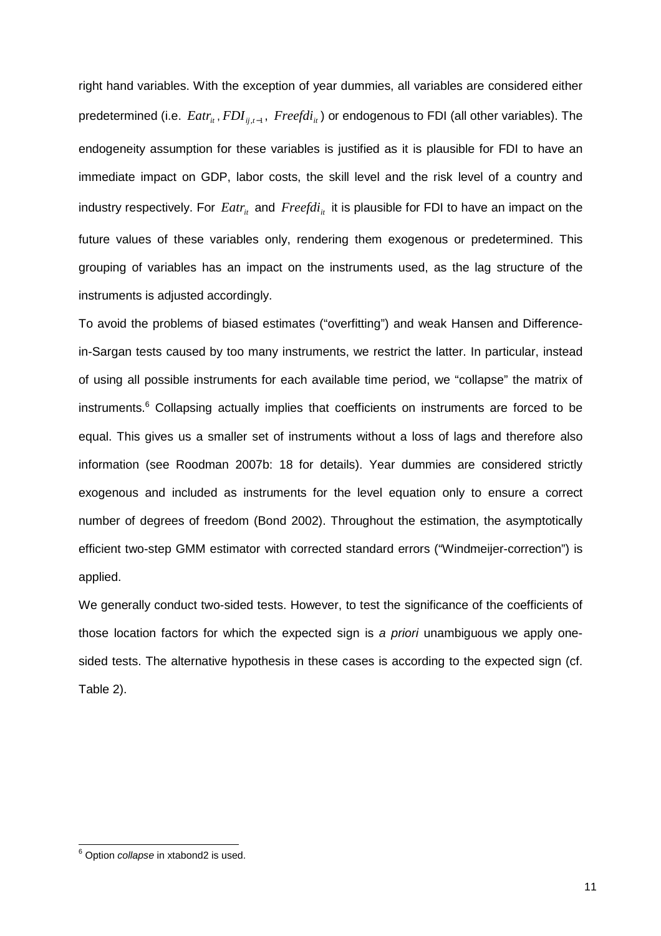right hand variables. With the exception of year dummies, all variables are considered either predetermined (i.e. *Eatr<sub>it</sub>* , *FDI*<sub>ij,</sub> $_t$ <sub>1</sub>, *Freefdi*<sub>*it*</sub></sub>) or endogenous to FDI (all other variables). The endogeneity assumption for these variables is justified as it is plausible for FDI to have an immediate impact on GDP, labor costs, the skill level and the risk level of a country and industry respectively. For  $Eatr_{it}$  and  $Freefdi_{it}$  it is plausible for FDI to have an impact on the future values of these variables only, rendering them exogenous or predetermined. This grouping of variables has an impact on the instruments used, as the lag structure of the instruments is adjusted accordingly.

To avoid the problems of biased estimates ("overfitting") and weak Hansen and Differencein-Sargan tests caused by too many instruments, we restrict the latter. In particular, instead of using all possible instruments for each available time period, we "collapse" the matrix of instruments.<sup>6</sup> Collapsing actually implies that coefficients on instruments are forced to be equal. This gives us a smaller set of instruments without a loss of lags and therefore also information (see Roodman 2007b: 18 for details). Year dummies are considered strictly exogenous and included as instruments for the level equation only to ensure a correct number of degrees of freedom (Bond 2002). Throughout the estimation, the asymptotically efficient two-step GMM estimator with corrected standard errors ("Windmeijer-correction") is applied.

We generally conduct two-sided tests. However, to test the significance of the coefficients of those location factors for which the expected sign is a *priori* unambiguous we apply onesided tests. The alternative hypothesis in these cases is according to the expected sign (cf. Table 2).

enties<br><sup>6</sup> Option *collapse* in xtabond2 is used.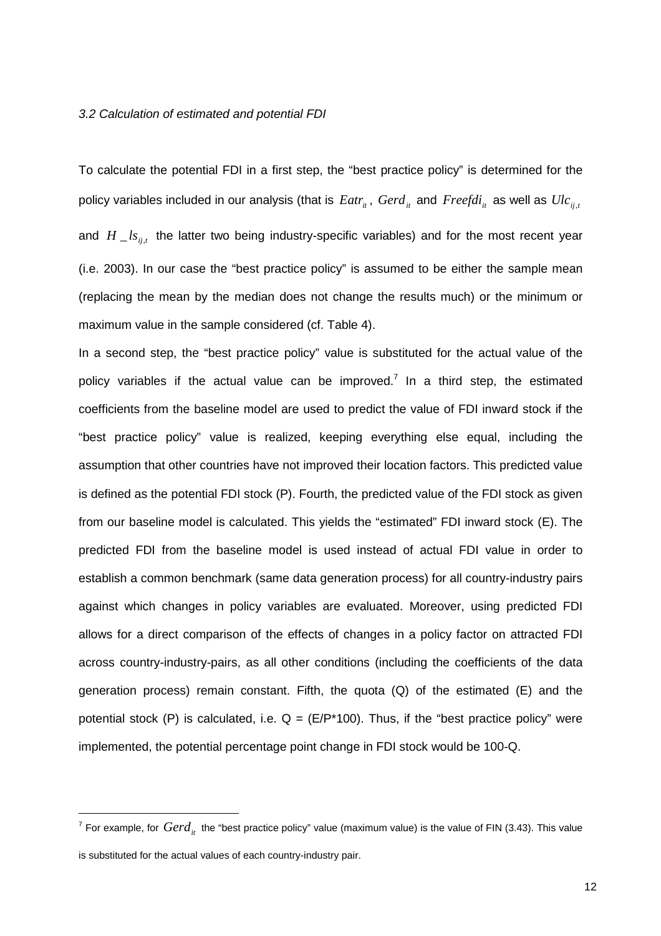#### 3.2 Calculation of estimated and potential FDI

To calculate the potential FDI in a first step, the "best practice policy" is determined for the policy variables included in our analysis (that is  $Eatr_{it}$ ,  $Gerd_{it}$  and  $Freefdi_{it}$  as well as  $Ulc_{it}$ and  $H\_{ls_{ij,t}}$  the latter two being industry-specific variables) and for the most recent year (i.e. 2003). In our case the "best practice policy" is assumed to be either the sample mean (replacing the mean by the median does not change the results much) or the minimum or maximum value in the sample considered (cf. Table 4).

In a second step, the "best practice policy" value is substituted for the actual value of the policy variables if the actual value can be improved.<sup>7</sup> In a third step, the estimated coefficients from the baseline model are used to predict the value of FDI inward stock if the "best practice policy" value is realized, keeping everything else equal, including the assumption that other countries have not improved their location factors. This predicted value is defined as the potential FDI stock (P). Fourth, the predicted value of the FDI stock as given from our baseline model is calculated. This yields the "estimated" FDI inward stock (E). The predicted FDI from the baseline model is used instead of actual FDI value in order to establish a common benchmark (same data generation process) for all country-industry pairs against which changes in policy variables are evaluated. Moreover, using predicted FDI allows for a direct comparison of the effects of changes in a policy factor on attracted FDI across country-industry-pairs, as all other conditions (including the coefficients of the data generation process) remain constant. Fifth, the quota  $(Q)$  of the estimated  $(E)$  and the potential stock (P) is calculated, i.e.  $Q = (E/P^*100)$ . Thus, if the "best practice policy" were implemented, the potential percentage point change in FDI stock would be 100-Q.

l

<sup>&</sup>lt;sup>7</sup> For example, for  $Gerd^+_{it}$  the "best practice policy" value (maximum value) is the value of FIN (3.43). This value is substituted for the actual values of each country-industry pair.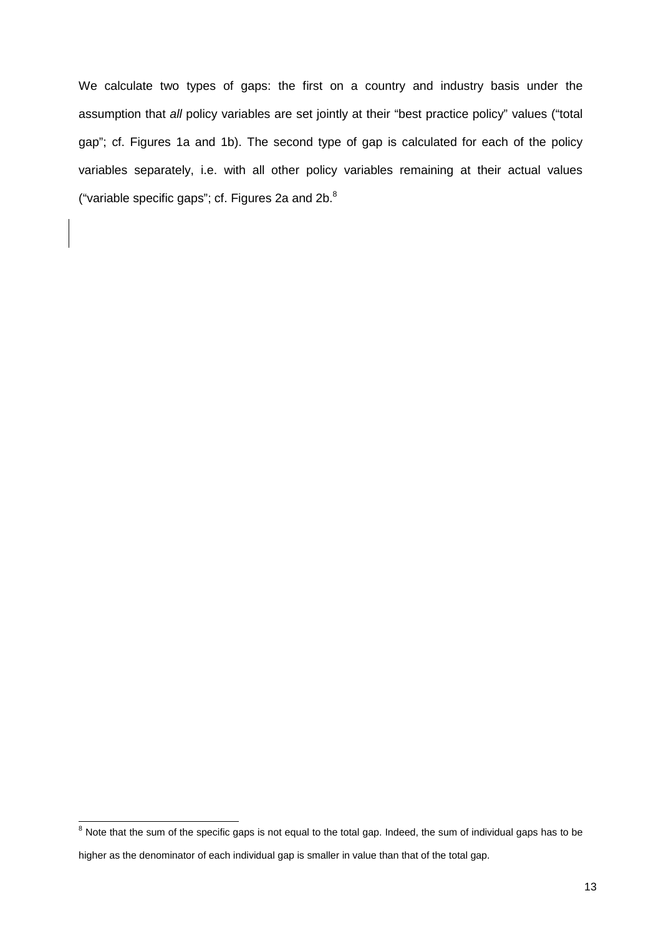We calculate two types of gaps: the first on a country and industry basis under the assumption that all policy variables are set jointly at their "best practice policy" values ("total gap"; cf. Figures 1a and 1b). The second type of gap is calculated for each of the policy variables separately, i.e. with all other policy variables remaining at their actual values ("variable specific gaps"; cf. Figures 2a and  $2b$ . $8$ 

<sup>&</sup>lt;sup>8</sup><br>Note that the sum of the specific gaps is not equal to the total gap. Indeed, the sum of individual gaps has to be

higher as the denominator of each individual gap is smaller in value than that of the total gap.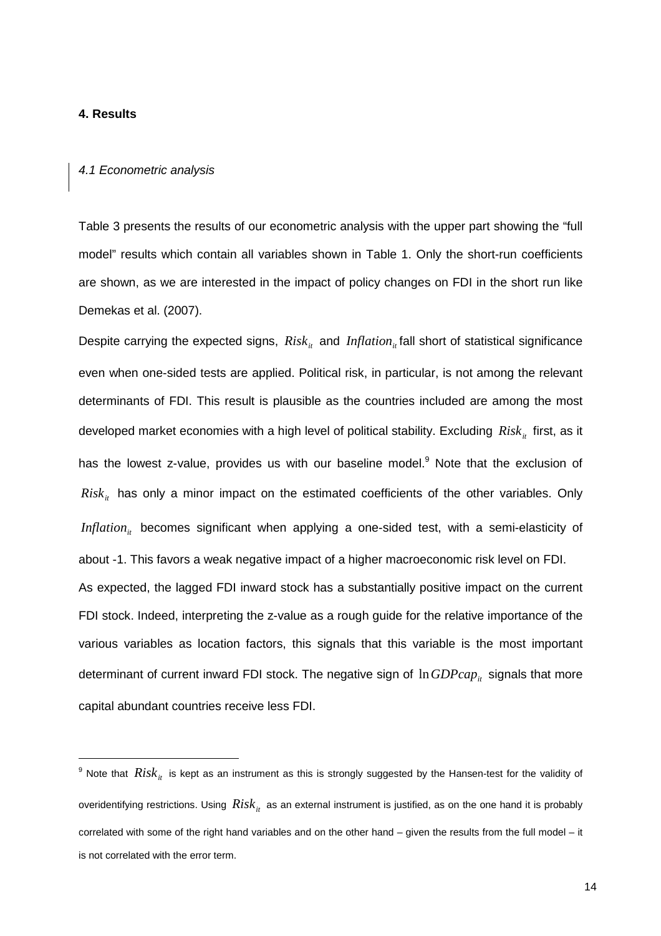## **4. Results**

-

#### 4.1 Econometric analysis

Table 3 presents the results of our econometric analysis with the upper part showing the "full model" results which contain all variables shown in Table 1. Only the short-run coefficients are shown, as we are interested in the impact of policy changes on FDI in the short run like Demekas et al. (2007).

Despite carrying the expected signs,  $Risk_{it}$  and  $Inflation_{it}$  fall short of statistical significance even when one-sided tests are applied. Political risk, in particular, is not among the relevant determinants of FDI. This result is plausible as the countries included are among the most developed market economies with a high level of political stability. Excluding *Risk<sub>it</sub>* first, as it has the lowest z-value, provides us with our baseline model.<sup>9</sup> Note that the exclusion of *Risk<sub>it</sub>* has only a minor impact on the estimated coefficients of the other variables. Only *Inflation*<sub>*i*t</sub> becomes significant when applying a one-sided test, with a semi-elasticity of about -1. This favors a weak negative impact of a higher macroeconomic risk level on FDI. As expected, the lagged FDI inward stock has a substantially positive impact on the current FDI stock. Indeed, interpreting the z-value as a rough guide for the relative importance of the various variables as location factors, this signals that this variable is the most important determinant of current inward FDI stock. The negative sign of  $\ln GDPcap_{it}$  signals that more capital abundant countries receive less FDI.

 $^9$  Note that  $\overline{Risk}_{it}$  is kept as an instrument as this is strongly suggested by the Hansen-test for the validity of overidentifying restrictions. Using  $Risk_{it}$  as an external instrument is justified, as on the one hand it is probably correlated with some of the right hand variables and on the other hand – given the results from the full model – it is not correlated with the error term.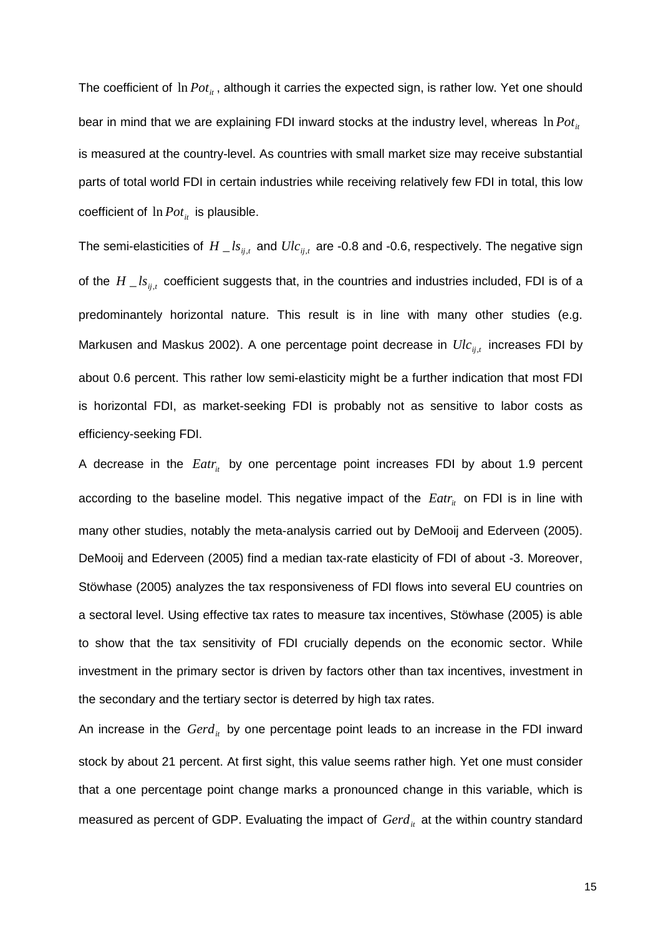The coefficient of  $\ln Pot_{it}$ , although it carries the expected sign, is rather low. Yet one should bear in mind that we are explaining FDI inward stocks at the industry level, whereas  $\ln Pot_{it}$ is measured at the country-level. As countries with small market size may receive substantial parts of total world FDI in certain industries while receiving relatively few FDI in total, this low coefficient of  $\ln Pot_i$  is plausible.

The semi-elasticities of  $H\_{ls_{ij,t}}$  and  $Ulc_{_{ij,t}}$  are -0.8 and -0.6, respectively. The negative sign of the  $H \_ls_{ij,t}$  coefficient suggests that, in the countries and industries included, FDI is of a predominantely horizontal nature. This result is in line with many other studies (e.g. Markusen and Maskus 2002). A one percentage point decrease in *Ulcij*,*<sup>t</sup>* increases FDI by about 0.6 percent. This rather low semi-elasticity might be a further indication that most FDI is horizontal FDI, as market-seeking FDI is probably not as sensitive to labor costs as efficiency-seeking FDI.

A decrease in the *Eatr<sub>it</sub>* by one percentage point increases FDI by about 1.9 percent according to the baseline model. This negative impact of the *Eatr<sub>it</sub>* on FDI is in line with many other studies, notably the meta-analysis carried out by DeMooij and Ederveen (2005). DeMooij and Ederveen (2005) find a median tax-rate elasticity of FDI of about -3. Moreover, Stöwhase (2005) analyzes the tax responsiveness of FDI flows into several EU countries on a sectoral level. Using effective tax rates to measure tax incentives, Stöwhase (2005) is able to show that the tax sensitivity of FDI crucially depends on the economic sector. While investment in the primary sector is driven by factors other than tax incentives, investment in the secondary and the tertiary sector is deterred by high tax rates.

An increase in the *Gerd<sub>it</sub>* by one percentage point leads to an increase in the FDI inward stock by about 21 percent. At first sight, this value seems rather high. Yet one must consider that a one percentage point change marks a pronounced change in this variable, which is measured as percent of GDP. Evaluating the impact of *Gerd<sub>it</sub>* at the within country standard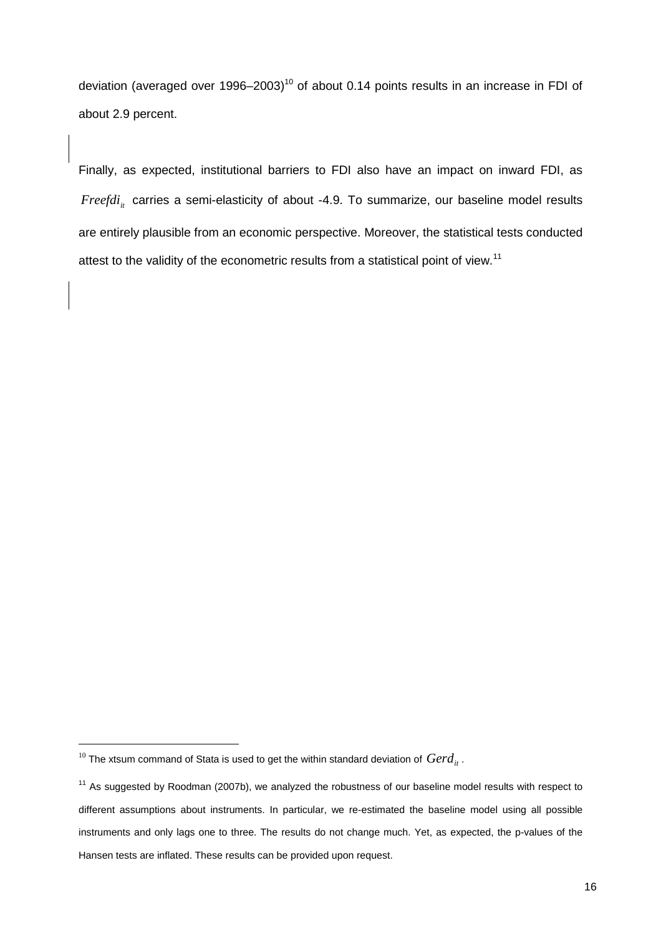deviation (averaged over 1996–2003)<sup>10</sup> of about 0.14 points results in an increase in FDI of about 2.9 percent.

Finally, as expected, institutional barriers to FDI also have an impact on inward FDI, as *Freefdi<sub>it</sub>* carries a semi-elasticity of about -4.9. To summarize, our baseline model results are entirely plausible from an economic perspective. Moreover, the statistical tests conducted attest to the validity of the econometric results from a statistical point of view.<sup>11</sup>

-

 $^{10}$  The xtsum command of Stata is used to get the within standard deviation of  $\emph{Gerd}_{it}$  .

 $11$  As suggested by Roodman (2007b), we analyzed the robustness of our baseline model results with respect to different assumptions about instruments. In particular, we re-estimated the baseline model using all possible instruments and only lags one to three. The results do not change much. Yet, as expected, the p-values of the Hansen tests are inflated. These results can be provided upon request.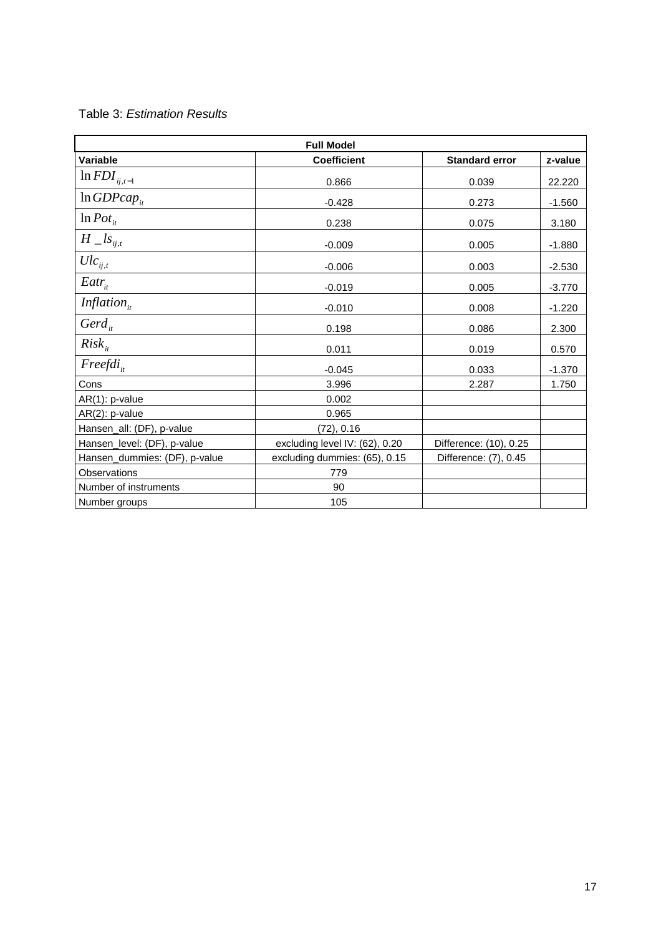| <b>Full Model</b>             |                                |                        |          |  |
|-------------------------------|--------------------------------|------------------------|----------|--|
| Variable                      | <b>Coefficient</b>             | <b>Standard error</b>  | z-value  |  |
| $\ln\text{FDI}_{ij,t-1}$      | 0.866                          | 0.039                  | 22.220   |  |
| $ln GDPcap_{it}$              | $-0.428$                       | 0.273                  | $-1.560$ |  |
| $\ln$ Pot <sub>it</sub>       | 0.238                          | 0.075                  | 3.180    |  |
| $H \_ls_{ij,t}$               | $-0.009$                       | 0.005                  | $-1.880$ |  |
| $Ulc_{ii,t}$                  | $-0.006$                       | 0.003                  | $-2.530$ |  |
| $Eatr_{it}$                   | $-0.019$                       | 0.005                  | $-3.770$ |  |
| Inflation $_{it}$             | $-0.010$                       | 0.008                  | $-1.220$ |  |
| $Gerd_{it}$                   | 0.198                          | 0.086                  | 2.300    |  |
| $Risk_{it}$                   | 0.011                          | 0.019                  | 0.570    |  |
| $Freefdi_{i}$                 | $-0.045$                       | 0.033                  | $-1.370$ |  |
| Cons                          | 3.996                          | 2.287                  | 1.750    |  |
| AR(1): p-value                | 0.002                          |                        |          |  |
| AR(2): p-value                | 0.965                          |                        |          |  |
| Hansen_all: (DF), p-value     | (72), 0.16                     |                        |          |  |
| Hansen_level: (DF), p-value   | excluding level IV: (62), 0.20 | Difference: (10), 0.25 |          |  |
| Hansen_dummies: (DF), p-value | excluding dummies: (65), 0.15  | Difference: (7), 0.45  |          |  |
| Observations                  | 779                            |                        |          |  |
| Number of instruments         | 90                             |                        |          |  |
| Number groups                 | 105                            |                        |          |  |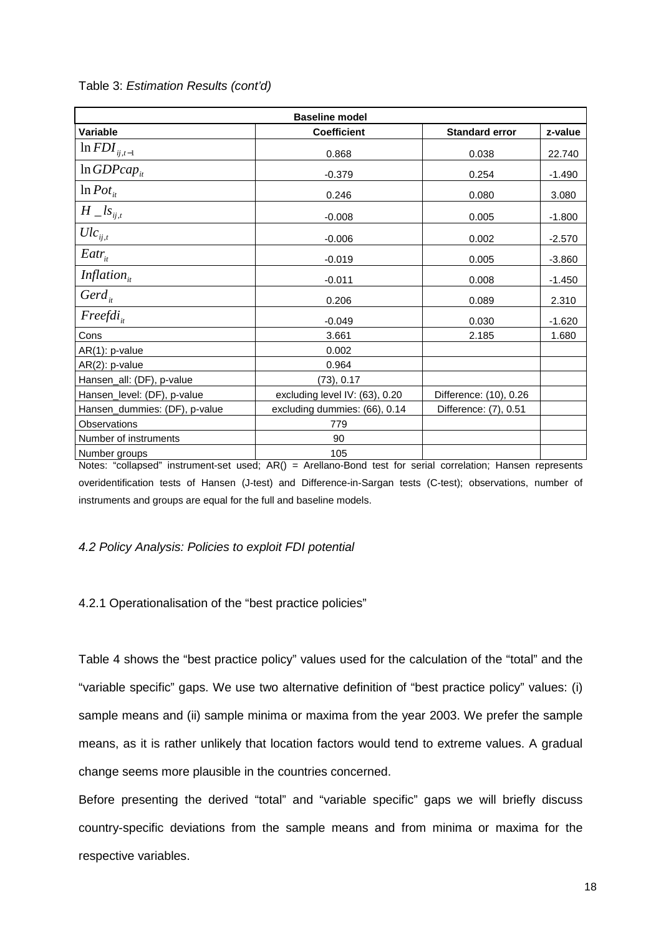| <b>Baseline model</b>         |                                |                        |          |  |
|-------------------------------|--------------------------------|------------------------|----------|--|
| Variable                      | <b>Coefficient</b>             | <b>Standard error</b>  | z-value  |  |
| $\ln\text{FDI}_{ij,t-1}$      | 0.868                          | 0.038                  | 22.740   |  |
| $ln GDPcap_{it}$              | $-0.379$                       | 0.254                  | $-1.490$ |  |
| $ln$ Pot <sub>it</sub>        | 0.246                          | 0.080                  | 3.080    |  |
| $H\_{ls_{ij,t}}$              | $-0.008$                       | 0.005                  | $-1.800$ |  |
| $Ulc_{ij,t}$                  | $-0.006$                       | 0.002                  | $-2.570$ |  |
| $Eatr_{it}$                   | $-0.019$                       | 0.005                  | $-3.860$ |  |
| Inflation $_{it}$             | $-0.011$                       | 0.008                  | $-1.450$ |  |
| Gerd $_{it}$                  | 0.206                          | 0.089                  | 2.310    |  |
| $Freefdi_{i}$                 | $-0.049$                       | 0.030                  | $-1.620$ |  |
| Cons                          | 3.661                          | 2.185                  | 1.680    |  |
| $AR(1)$ : p-value             | 0.002                          |                        |          |  |
| AR(2): p-value                | 0.964                          |                        |          |  |
| Hansen_all: (DF), p-value     | (73), 0.17                     |                        |          |  |
| Hansen_level: (DF), p-value   | excluding level IV: (63), 0.20 | Difference: (10), 0.26 |          |  |
| Hansen_dummies: (DF), p-value | excluding dummies: (66), 0.14  | Difference: (7), 0.51  |          |  |
| Observations                  | 779                            |                        |          |  |
| Number of instruments         | 90                             |                        |          |  |
| Number groups                 | 105                            |                        |          |  |

Table 3: Estimation Results (cont'd)

Notes: "collapsed" instrument-set used; AR() = Arellano-Bond test for serial correlation; Hansen represents overidentification tests of Hansen (J-test) and Difference-in-Sargan tests (C-test); observations, number of instruments and groups are equal for the full and baseline models.

## 4.2 Policy Analysis: Policies to exploit FDI potential

## 4.2.1 Operationalisation of the "best practice policies"

Table 4 shows the "best practice policy" values used for the calculation of the "total" and the "variable specific" gaps. We use two alternative definition of "best practice policy" values: (i) sample means and (ii) sample minima or maxima from the year 2003. We prefer the sample means, as it is rather unlikely that location factors would tend to extreme values. A gradual change seems more plausible in the countries concerned.

Before presenting the derived "total" and "variable specific" gaps we will briefly discuss country-specific deviations from the sample means and from minima or maxima for the respective variables.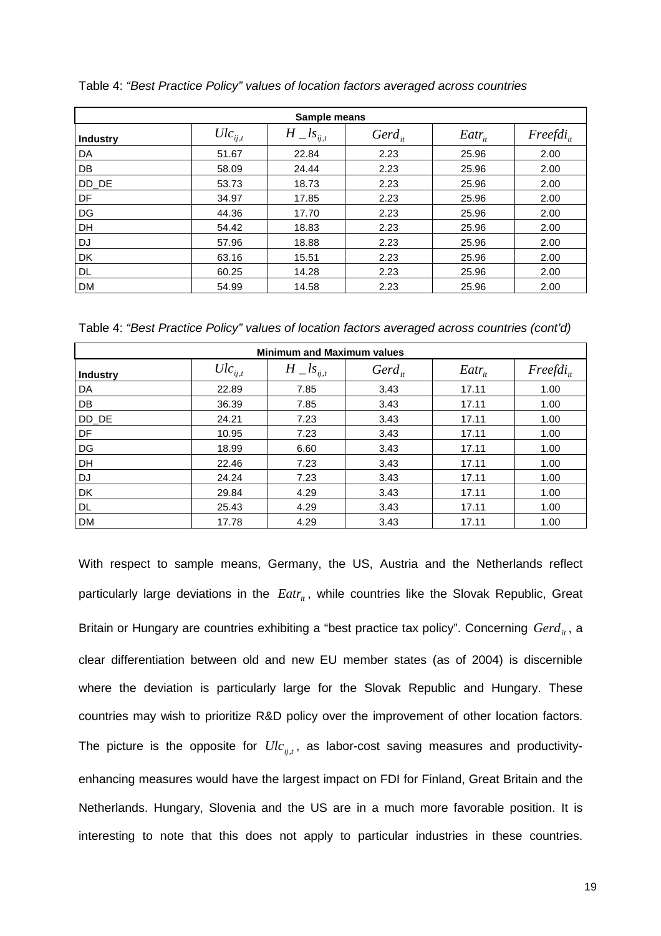| Sample means    |              |                  |             |             |               |
|-----------------|--------------|------------------|-------------|-------------|---------------|
| <b>Industry</b> | $Ulc_{ij,t}$ | $H\_{ls_{ij,t}}$ | $Gerd_{ii}$ | $Eatr_{it}$ | $Freefdi_{i}$ |
| DA              | 51.67        | 22.84            | 2.23        | 25.96       | 2.00          |
| DB              | 58.09        | 24.44            | 2.23        | 25.96       | 2.00          |
| DD_DE           | 53.73        | 18.73            | 2.23        | 25.96       | 2.00          |
| DF              | 34.97        | 17.85            | 2.23        | 25.96       | 2.00          |
| DG              | 44.36        | 17.70            | 2.23        | 25.96       | 2.00          |
| <b>DH</b>       | 54.42        | 18.83            | 2.23        | 25.96       | 2.00          |
| DJ              | 57.96        | 18.88            | 2.23        | 25.96       | 2.00          |
| DK              | 63.16        | 15.51            | 2.23        | 25.96       | 2.00          |
| DL.             | 60.25        | 14.28            | 2.23        | 25.96       | 2.00          |
| <b>DM</b>       | 54.99        | 14.58            | 2.23        | 25.96       | 2.00          |

Table 4: "Best Practice Policy" values of location factors averaged across countries

Table 4: "Best Practice Policy" values of location factors averaged across countries (cont'd)

| <b>Minimum and Maximum values</b> |              |                  |             |             |                |
|-----------------------------------|--------------|------------------|-------------|-------------|----------------|
| <b>Industry</b>                   | $Ulc_{ii,t}$ | $H\_{ls_{ij,t}}$ | $Gerd_{it}$ | $Eatr_{it}$ | $Freefdi_{it}$ |
| DA                                | 22.89        | 7.85             | 3.43        | 17.11       | 1.00           |
| DB                                | 36.39        | 7.85             | 3.43        | 17.11       | 1.00           |
| DD_DE                             | 24.21        | 7.23             | 3.43        | 17.11       | 1.00           |
| DF                                | 10.95        | 7.23             | 3.43        | 17.11       | 1.00           |
| DG                                | 18.99        | 6.60             | 3.43        | 17.11       | 1.00           |
| DH                                | 22.46        | 7.23             | 3.43        | 17.11       | 1.00           |
| DJ                                | 24.24        | 7.23             | 3.43        | 17.11       | 1.00           |
| DK                                | 29.84        | 4.29             | 3.43        | 17.11       | 1.00           |
| <b>DL</b>                         | 25.43        | 4.29             | 3.43        | 17.11       | 1.00           |
| <b>DM</b>                         | 17.78        | 4.29             | 3.43        | 17.11       | 1.00           |

With respect to sample means, Germany, the US, Austria and the Netherlands reflect particularly large deviations in the *Eatr<sub>it</sub>*, while countries like the Slovak Republic, Great Britain or Hungary are countries exhibiting a "best practice tax policy". Concerning *Gerd*<sub>*it*</sub>, a clear differentiation between old and new EU member states (as of 2004) is discernible where the deviation is particularly large for the Slovak Republic and Hungary. These countries may wish to prioritize R&D policy over the improvement of other location factors. The picture is the opposite for  $Ulc_{ij,t}$ , as labor-cost saving measures and productivityenhancing measures would have the largest impact on FDI for Finland, Great Britain and the Netherlands. Hungary, Slovenia and the US are in a much more favorable position. It is interesting to note that this does not apply to particular industries in these countries.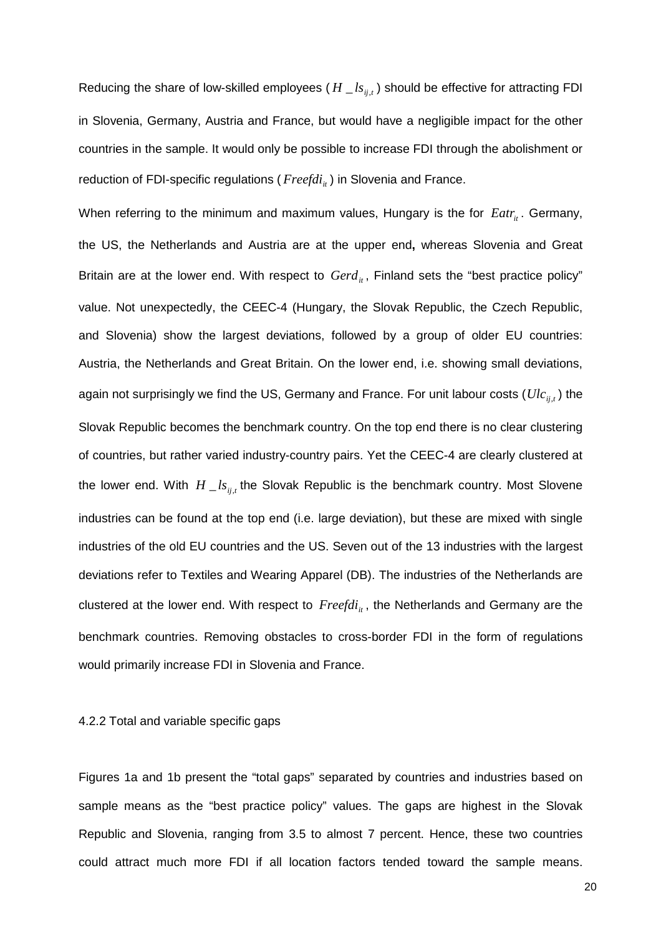Reducing the share of low-skilled employees ( $H \_{ls_{ii}}$ ) should be effective for attracting FDI in Slovenia, Germany, Austria and France, but would have a negligible impact for the other countries in the sample. It would only be possible to increase FDI through the abolishment or reduction of FDI-specific regulations (*Freefdi<sub>it</sub>*) in Slovenia and France.

When referring to the minimum and maximum values, Hungary is the for *Eatr<sub>it</sub>*. Germany, the US, the Netherlands and Austria are at the upper end**,** whereas Slovenia and Great Britain are at the lower end. With respect to *Gerd<sub>it</sub>*, Finland sets the "best practice policy" value. Not unexpectedly, the CEEC-4 (Hungary, the Slovak Republic, the Czech Republic, and Slovenia) show the largest deviations, followed by a group of older EU countries: Austria, the Netherlands and Great Britain. On the lower end, i.e. showing small deviations, again not surprisingly we find the US, Germany and France. For unit labour costs ( $\mathit{Ulc}_{ij,t}$ ) the Slovak Republic becomes the benchmark country. On the top end there is no clear clustering of countries, but rather varied industry-country pairs. Yet the CEEC-4 are clearly clustered at the lower end. With  $H \_ls_{ij}$  the Slovak Republic is the benchmark country. Most Slovene industries can be found at the top end (i.e. large deviation), but these are mixed with single industries of the old EU countries and the US. Seven out of the 13 industries with the largest deviations refer to Textiles and Wearing Apparel (DB). The industries of the Netherlands are clustered at the lower end. With respect to *Freefdi<sub>it</sub>*, the Netherlands and Germany are the benchmark countries. Removing obstacles to cross-border FDI in the form of regulations would primarily increase FDI in Slovenia and France.

#### 4.2.2 Total and variable specific gaps

Figures 1a and 1b present the "total gaps" separated by countries and industries based on sample means as the "best practice policy" values. The gaps are highest in the Slovak Republic and Slovenia, ranging from 3.5 to almost 7 percent. Hence, these two countries could attract much more FDI if all location factors tended toward the sample means.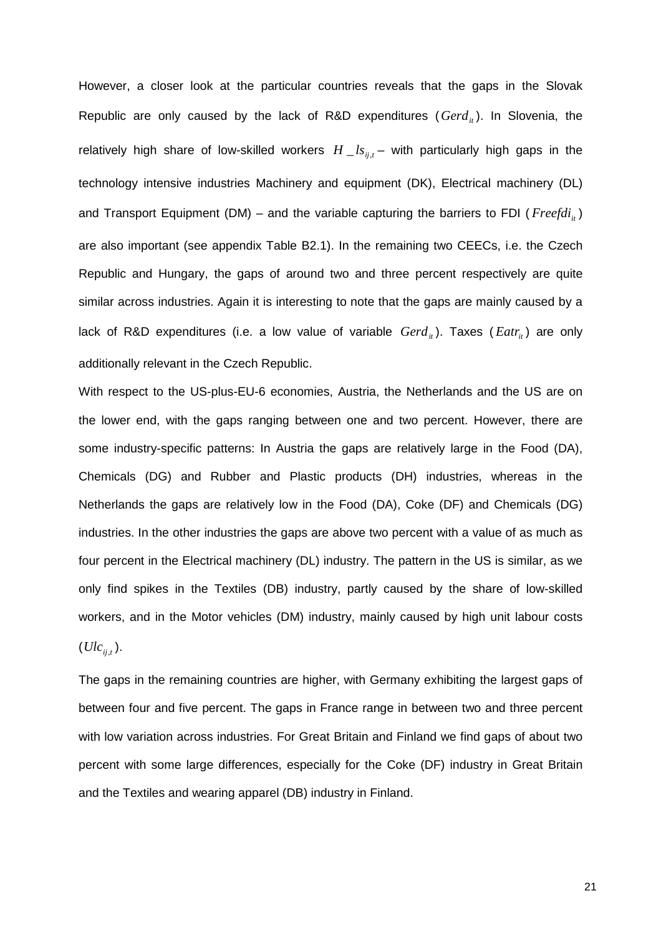However, a closer look at the particular countries reveals that the gaps in the Slovak Republic are only caused by the lack of R&D expenditures  $(Gerd_{it})$ . In Slovenia, the relatively high share of low-skilled workers  $H \_{ls_{ii,t}}$  – with particularly high gaps in the technology intensive industries Machinery and equipment (DK), Electrical machinery (DL) and Transport Equipment (DM) – and the variable capturing the barriers to FDI ( $Freefdi<sub>i</sub>$ ) are also important (see appendix Table B2.1). In the remaining two CEECs, i.e. the Czech Republic and Hungary, the gaps of around two and three percent respectively are quite similar across industries. Again it is interesting to note that the gaps are mainly caused by a lack of R&D expenditures (i.e. a low value of variable  $Gerd_{it}$ ). Taxes ( $Eatr_{it}$ ) are only additionally relevant in the Czech Republic.

With respect to the US-plus-EU-6 economies, Austria, the Netherlands and the US are on the lower end, with the gaps ranging between one and two percent. However, there are some industry-specific patterns: In Austria the gaps are relatively large in the Food (DA), Chemicals (DG) and Rubber and Plastic products (DH) industries, whereas in the Netherlands the gaps are relatively low in the Food (DA), Coke (DF) and Chemicals (DG) industries. In the other industries the gaps are above two percent with a value of as much as four percent in the Electrical machinery (DL) industry. The pattern in the US is similar, as we only find spikes in the Textiles (DB) industry, partly caused by the share of low-skilled workers, and in the Motor vehicles (DM) industry, mainly caused by high unit labour costs  $(Ulc_{ij,t}).$ 

The gaps in the remaining countries are higher, with Germany exhibiting the largest gaps of between four and five percent. The gaps in France range in between two and three percent with low variation across industries. For Great Britain and Finland we find gaps of about two percent with some large differences, especially for the Coke (DF) industry in Great Britain and the Textiles and wearing apparel (DB) industry in Finland.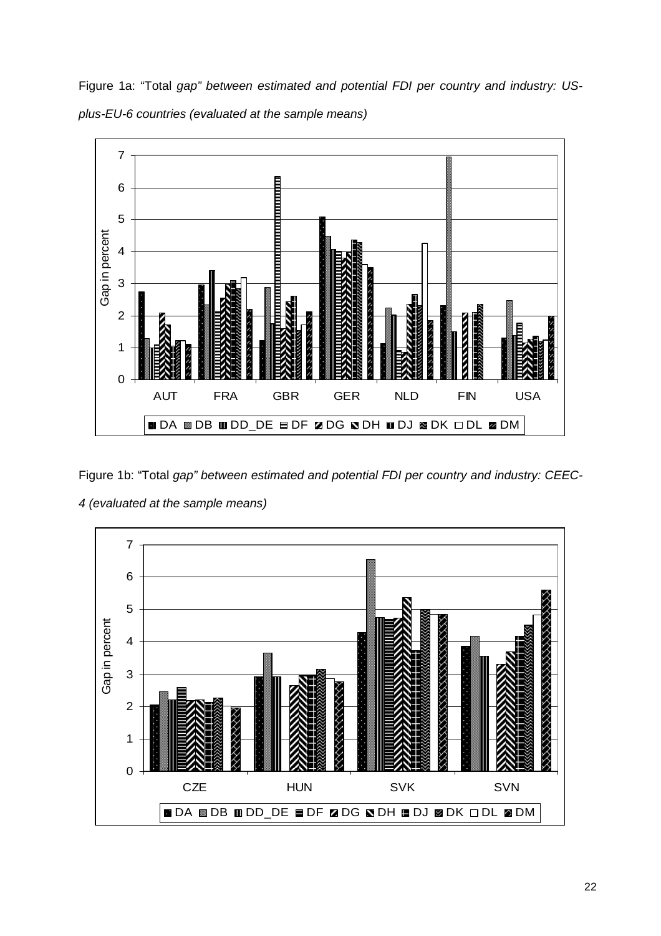Figure 1a: "Total gap" between estimated and potential FDI per country and industry: USplus-EU-6 countries (evaluated at the sample means)



Figure 1b: "Total gap" between estimated and potential FDI per country and industry: CEEC-4 (evaluated at the sample means)

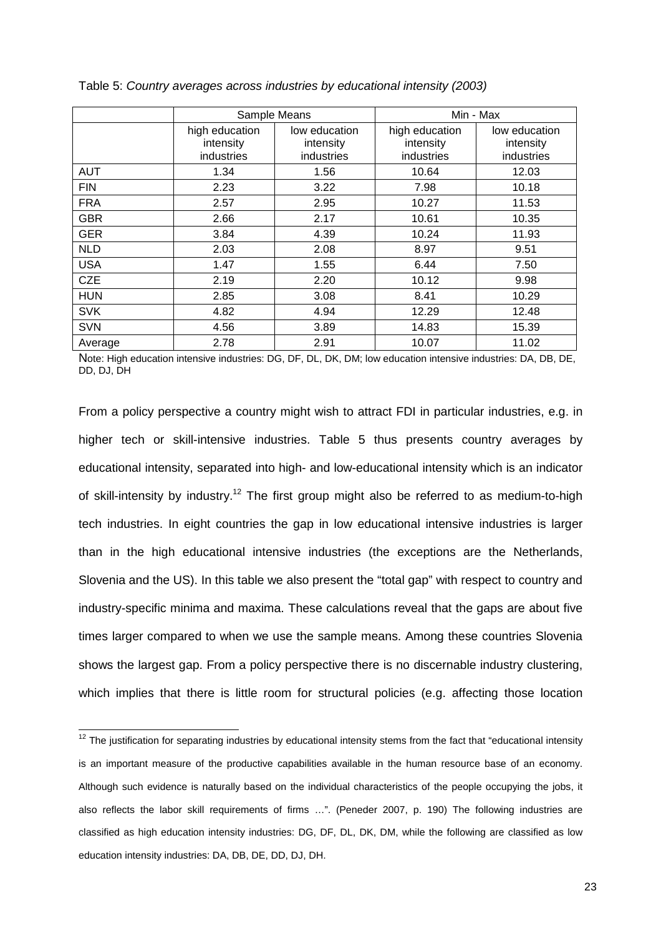|            | Sample Means                              |                                          | Min - Max                                 |                                          |
|------------|-------------------------------------------|------------------------------------------|-------------------------------------------|------------------------------------------|
|            | high education<br>intensity<br>industries | low education<br>intensity<br>industries | high education<br>intensity<br>industries | low education<br>intensity<br>industries |
| <b>AUT</b> | 1.34                                      | 1.56                                     | 10.64                                     | 12.03                                    |
| <b>FIN</b> | 2.23                                      | 3.22                                     | 7.98                                      | 10.18                                    |
| <b>FRA</b> | 2.57                                      | 2.95                                     | 10.27                                     | 11.53                                    |
| <b>GBR</b> | 2.66                                      | 2.17                                     | 10.61                                     | 10.35                                    |
| <b>GER</b> | 3.84                                      | 4.39                                     | 10.24                                     | 11.93                                    |
| <b>NLD</b> | 2.03                                      | 2.08                                     | 8.97                                      | 9.51                                     |
| <b>USA</b> | 1.47                                      | 1.55                                     | 6.44                                      | 7.50                                     |
| <b>CZE</b> | 2.19                                      | 2.20                                     | 10.12                                     | 9.98                                     |
| <b>HUN</b> | 2.85                                      | 3.08                                     | 8.41                                      | 10.29                                    |
| <b>SVK</b> | 4.82                                      | 4.94                                     | 12.29                                     | 12.48                                    |
| <b>SVN</b> | 4.56                                      | 3.89                                     | 14.83                                     | 15.39                                    |
| Average    | 2.78                                      | 2.91                                     | 10.07                                     | 11.02                                    |

Table 5: Country averages across industries by educational intensity (2003)

Note: High education intensive industries: DG, DF, DL, DK, DM; low education intensive industries: DA, DB, DE, DD, DJ, DH

From a policy perspective a country might wish to attract FDI in particular industries, e.g. in higher tech or skill-intensive industries. Table 5 thus presents country averages by educational intensity, separated into high- and low-educational intensity which is an indicator of skill-intensity by industry.<sup>12</sup> The first group might also be referred to as medium-to-high tech industries. In eight countries the gap in low educational intensive industries is larger than in the high educational intensive industries (the exceptions are the Netherlands, Slovenia and the US). In this table we also present the "total gap" with respect to country and industry-specific minima and maxima. These calculations reveal that the gaps are about five times larger compared to when we use the sample means. Among these countries Slovenia shows the largest gap. From a policy perspective there is no discernable industry clustering, which implies that there is little room for structural policies (e.g. affecting those location

 $\overline{\phantom{a}}$ 

 $12$  The justification for separating industries by educational intensity stems from the fact that "educational intensity is an important measure of the productive capabilities available in the human resource base of an economy. Although such evidence is naturally based on the individual characteristics of the people occupying the jobs, it also reflects the labor skill requirements of firms …". (Peneder 2007, p. 190) The following industries are classified as high education intensity industries: DG, DF, DL, DK, DM, while the following are classified as low education intensity industries: DA, DB, DE, DD, DJ, DH.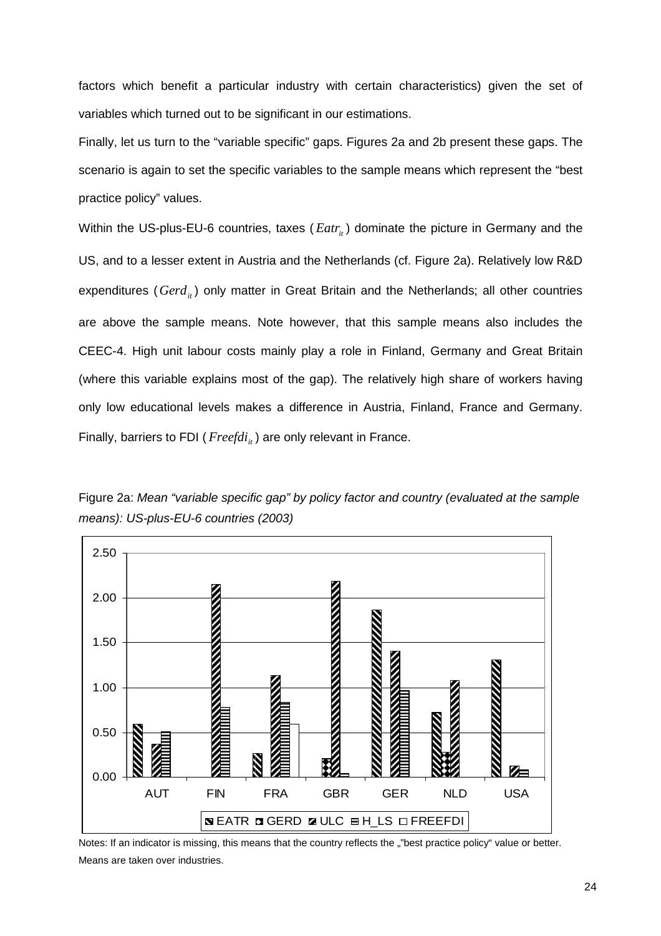factors which benefit a particular industry with certain characteristics) given the set of variables which turned out to be significant in our estimations.

Finally, let us turn to the "variable specific" gaps. Figures 2a and 2b present these gaps. The scenario is again to set the specific variables to the sample means which represent the "best practice policy" values.

Within the US-plus-EU-6 countries, taxes (*Eatr<sub>it</sub>*) dominate the picture in Germany and the US, and to a lesser extent in Austria and the Netherlands (cf. Figure 2a). Relatively low R&D expenditures (*Gerd<sub>it</sub>*) only matter in Great Britain and the Netherlands; all other countries are above the sample means. Note however, that this sample means also includes the CEEC-4. High unit labour costs mainly play a role in Finland, Germany and Great Britain (where this variable explains most of the gap). The relatively high share of workers having only low educational levels makes a difference in Austria, Finland, France and Germany. Finally, barriers to FDI ( $Freeddi<sub>i</sub>$ ) are only relevant in France.



Figure 2a: Mean "variable specific gap" by policy factor and country (evaluated at the sample means): US-plus-EU-6 countries (2003)

Notes: If an indicator is missing, this means that the country reflects the ""best practice policy" value or better. Means are taken over industries.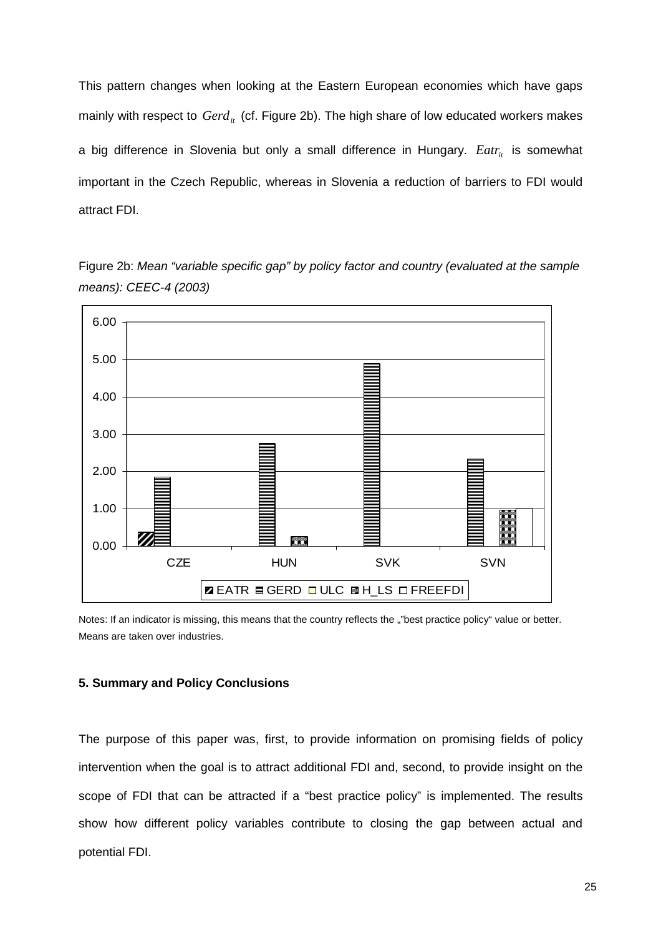This pattern changes when looking at the Eastern European economies which have gaps mainly with respect to *Gerd<sub>it</sub>* (cf. Figure 2b). The high share of low educated workers makes a big difference in Slovenia but only a small difference in Hungary. *Eatr<sub>it</sub>* is somewhat important in the Czech Republic, whereas in Slovenia a reduction of barriers to FDI would attract FDI.

Figure 2b: Mean "variable specific gap" by policy factor and country (evaluated at the sample means): CEEC-4 (2003)



Notes: If an indicator is missing, this means that the country reflects the ""best practice policy" value or better. Means are taken over industries.

## **5. Summary and Policy Conclusions**

The purpose of this paper was, first, to provide information on promising fields of policy intervention when the goal is to attract additional FDI and, second, to provide insight on the scope of FDI that can be attracted if a "best practice policy" is implemented. The results show how different policy variables contribute to closing the gap between actual and potential FDI.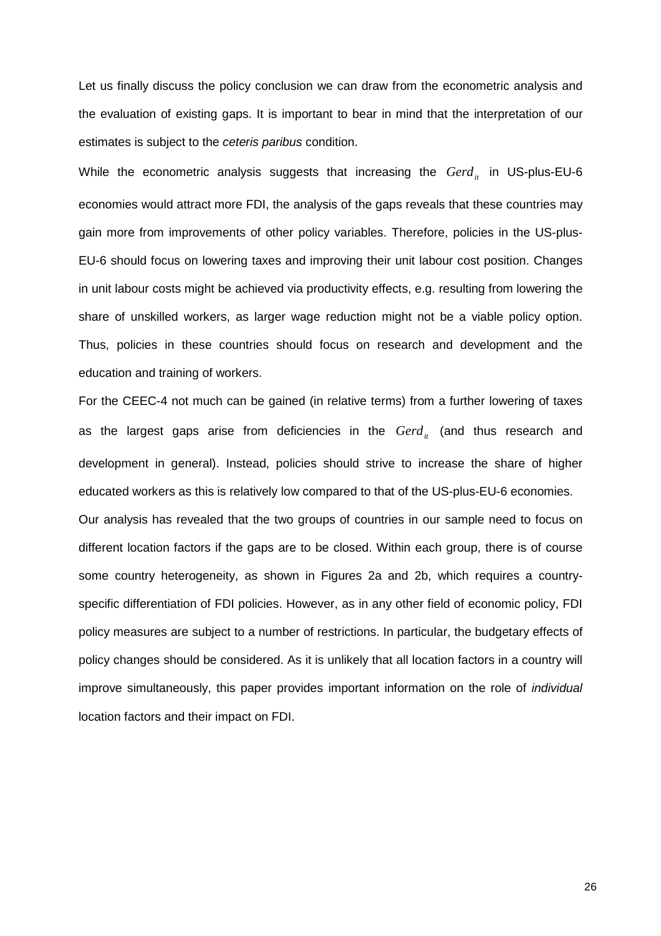Let us finally discuss the policy conclusion we can draw from the econometric analysis and the evaluation of existing gaps. It is important to bear in mind that the interpretation of our estimates is subject to the ceteris paribus condition.

While the econometric analysis suggests that increasing the *Gerd<sub>it</sub>* in US-plus-EU-6 economies would attract more FDI, the analysis of the gaps reveals that these countries may gain more from improvements of other policy variables. Therefore, policies in the US-plus-EU-6 should focus on lowering taxes and improving their unit labour cost position. Changes in unit labour costs might be achieved via productivity effects, e.g. resulting from lowering the share of unskilled workers, as larger wage reduction might not be a viable policy option. Thus, policies in these countries should focus on research and development and the education and training of workers.

For the CEEC-4 not much can be gained (in relative terms) from a further lowering of taxes as the largest gaps arise from deficiencies in the *Gerd<sub>it</sub>* (and thus research and development in general). Instead, policies should strive to increase the share of higher educated workers as this is relatively low compared to that of the US-plus-EU-6 economies.

Our analysis has revealed that the two groups of countries in our sample need to focus on different location factors if the gaps are to be closed. Within each group, there is of course some country heterogeneity, as shown in Figures 2a and 2b, which requires a countryspecific differentiation of FDI policies. However, as in any other field of economic policy, FDI policy measures are subject to a number of restrictions. In particular, the budgetary effects of policy changes should be considered. As it is unlikely that all location factors in a country will improve simultaneously, this paper provides important information on the role of individual location factors and their impact on FDI.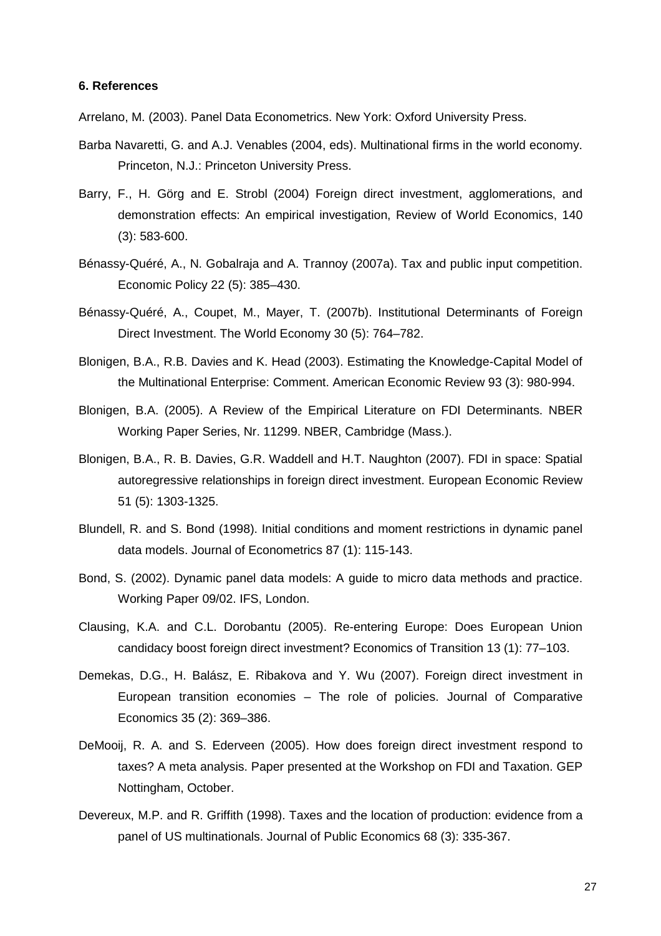## **6. References**

Arrelano, M. (2003). Panel Data Econometrics. New York: Oxford University Press.

- Barba Navaretti, G. and A.J. Venables (2004, eds). Multinational firms in the world economy. Princeton, N.J.: Princeton University Press.
- Barry, F., H. Görg and E. Strobl (2004) Foreign direct investment, agglomerations, and demonstration effects: An empirical investigation, Review of World Economics, 140 (3): 583-600.
- Bénassy-Quéré, A., N. Gobalraja and A. Trannoy (2007a). Tax and public input competition. Economic Policy 22 (5): 385–430.
- Bénassy-Quéré, A., Coupet, M., Mayer, T. (2007b). Institutional Determinants of Foreign Direct Investment. The World Economy 30 (5): 764–782.
- Blonigen, B.A., R.B. Davies and K. Head (2003). Estimating the Knowledge-Capital Model of the Multinational Enterprise: Comment. American Economic Review 93 (3): 980-994.
- Blonigen, B.A. (2005). A Review of the Empirical Literature on FDI Determinants. NBER Working Paper Series, Nr. 11299. NBER, Cambridge (Mass.).
- Blonigen, B.A., R. B. Davies, G.R. Waddell and H.T. Naughton (2007). FDI in space: Spatial autoregressive relationships in foreign direct investment. European Economic Review 51 (5): 1303-1325.
- Blundell, R. and S. Bond (1998). Initial conditions and moment restrictions in dynamic panel data models. Journal of Econometrics 87 (1): 115-143.
- Bond, S. (2002). Dynamic panel data models: A guide to micro data methods and practice. Working Paper 09/02. IFS, London.
- Clausing, K.A. and C.L. Dorobantu (2005). Re-entering Europe: Does European Union candidacy boost foreign direct investment? Economics of Transition 13 (1): 77–103.
- Demekas, D.G., H. Balász, E. Ribakova and Y. Wu (2007). Foreign direct investment in European transition economies – The role of policies. Journal of Comparative Economics 35 (2): 369–386.
- DeMooij, R. A. and S. Ederveen (2005). How does foreign direct investment respond to taxes? A meta analysis. Paper presented at the Workshop on FDI and Taxation. GEP Nottingham, October.
- Devereux, M.P. and R. Griffith (1998). Taxes and the location of production: evidence from a panel of US multinationals. Journal of Public Economics 68 (3): 335-367.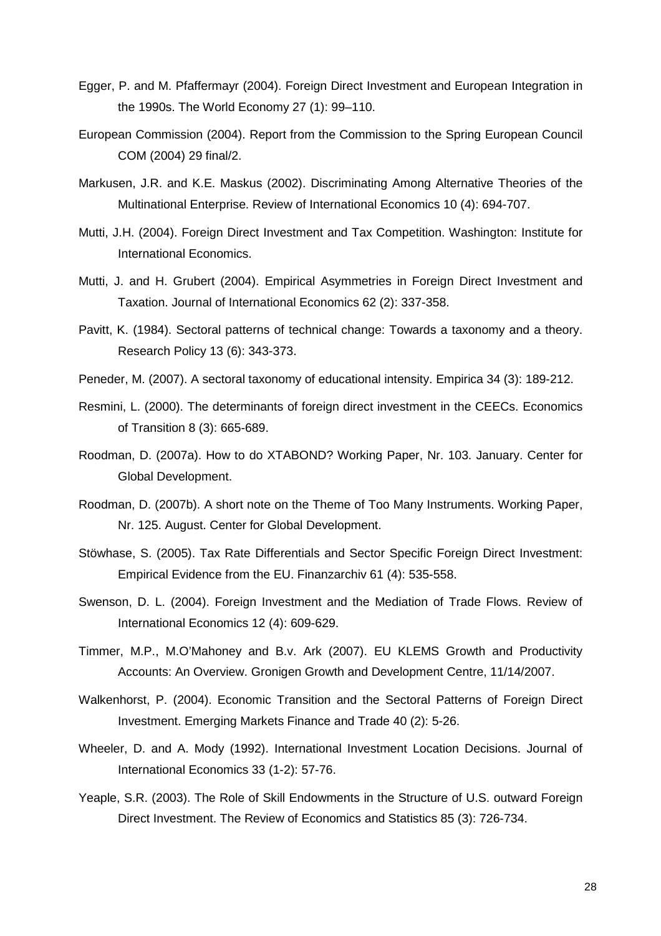- Egger, P. and M. Pfaffermayr (2004). Foreign Direct Investment and European Integration in the 1990s. The World Economy 27 (1): 99–110.
- European Commission (2004). Report from the Commission to the Spring European Council COM (2004) 29 final/2.
- Markusen, J.R. and K.E. Maskus (2002). Discriminating Among Alternative Theories of the Multinational Enterprise. Review of International Economics 10 (4): 694-707.
- Mutti, J.H. (2004). Foreign Direct Investment and Tax Competition. Washington: Institute for International Economics.
- Mutti, J. and H. Grubert (2004). Empirical Asymmetries in Foreign Direct Investment and Taxation. Journal of International Economics 62 (2): 337-358.
- Pavitt, K. (1984). Sectoral patterns of technical change: Towards a taxonomy and a theory. Research Policy 13 (6): 343-373.
- Peneder, M. (2007). A sectoral taxonomy of educational intensity. Empirica 34 (3): 189-212.
- Resmini, L. (2000). The determinants of foreign direct investment in the CEECs. Economics of Transition 8 (3): 665-689.
- Roodman, D. (2007a). How to do XTABOND? Working Paper, Nr. 103. January. Center for Global Development.
- Roodman, D. (2007b). A short note on the Theme of Too Many Instruments. Working Paper, Nr. 125. August. Center for Global Development.
- Stöwhase, S. (2005). Tax Rate Differentials and Sector Specific Foreign Direct Investment: Empirical Evidence from the EU. Finanzarchiv 61 (4): 535-558.
- Swenson, D. L. (2004). Foreign Investment and the Mediation of Trade Flows. Review of International Economics 12 (4): 609-629.
- Timmer, M.P., M.O'Mahoney and B.v. Ark (2007). EU KLEMS Growth and Productivity Accounts: An Overview. Gronigen Growth and Development Centre, 11/14/2007.
- Walkenhorst, P. (2004). Economic Transition and the Sectoral Patterns of Foreign Direct Investment. Emerging Markets Finance and Trade 40 (2): 5-26.
- Wheeler, D. and A. Mody (1992). International Investment Location Decisions. Journal of International Economics 33 (1-2): 57-76.
- Yeaple, S.R. (2003). The Role of Skill Endowments in the Structure of U.S. outward Foreign Direct Investment. The Review of Economics and Statistics 85 (3): 726-734.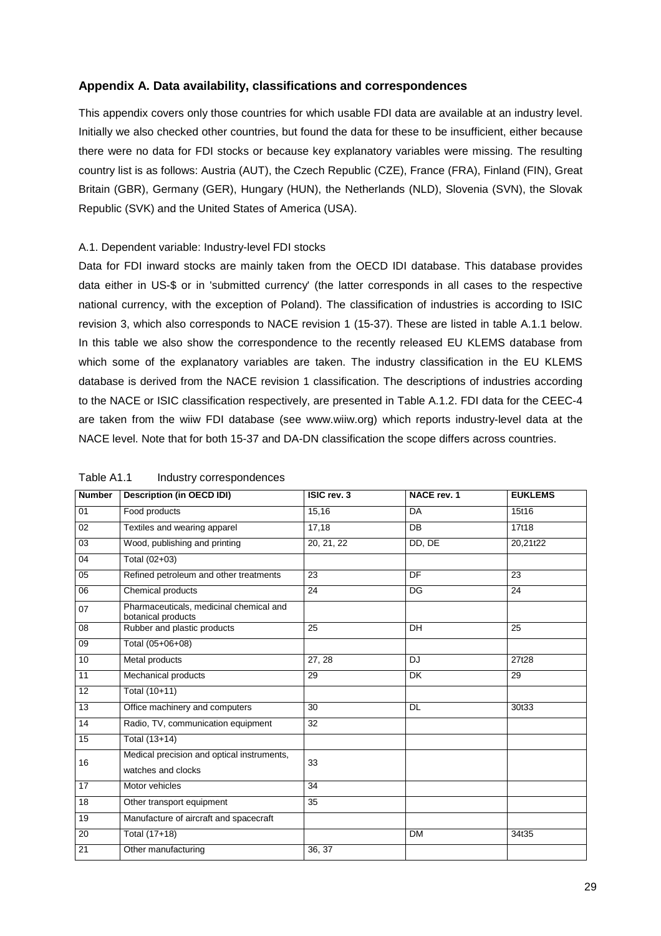## **Appendix A. Data availability, classifications and correspondences**

This appendix covers only those countries for which usable FDI data are available at an industry level. Initially we also checked other countries, but found the data for these to be insufficient, either because there were no data for FDI stocks or because key explanatory variables were missing. The resulting country list is as follows: Austria (AUT), the Czech Republic (CZE), France (FRA), Finland (FIN), Great Britain (GBR), Germany (GER), Hungary (HUN), the Netherlands (NLD), Slovenia (SVN), the Slovak Republic (SVK) and the United States of America (USA).

## A.1. Dependent variable: Industry-level FDI stocks

Data for FDI inward stocks are mainly taken from the OECD IDI database. This database provides data either in US-\$ or in 'submitted currency' (the latter corresponds in all cases to the respective national currency, with the exception of Poland). The classification of industries is according to ISIC revision 3, which also corresponds to NACE revision 1 (15-37). These are listed in table A.1.1 below. In this table we also show the correspondence to the recently released EU KLEMS database from which some of the explanatory variables are taken. The industry classification in the EU KLEMS database is derived from the NACE revision 1 classification. The descriptions of industries according to the NACE or ISIC classification respectively, are presented in Table A.1.2. FDI data for the CEEC-4 are taken from the wiiw FDI database (see www.wiiw.org) which reports industry-level data at the NACE level. Note that for both 15-37 and DA-DN classification the scope differs across countries.

| <b>Number</b>   | <b>Description (in OECD IDI)</b>                              | ISIC rev. 3 | NACE rev. 1 | <b>EUKLEMS</b> |
|-----------------|---------------------------------------------------------------|-------------|-------------|----------------|
| 01              | Food products                                                 | 15,16       | DA          | 15t16          |
| $\overline{02}$ | Textiles and wearing apparel                                  | 17,18       | <b>DB</b>   | 17t18          |
| 03              | Wood, publishing and printing                                 | 20, 21, 22  | DD, DE      | 20,21t22       |
| 04              | Total (02+03)                                                 |             |             |                |
| 05              | Refined petroleum and other treatments                        | 23          | DF          | 23             |
| 06              | Chemical products                                             | 24          | DG          | 24             |
| 07              | Pharmaceuticals, medicinal chemical and<br>botanical products |             |             |                |
| 08              | Rubber and plastic products                                   | 25          | <b>DH</b>   | 25             |
| 09              | Total (05+06+08)                                              |             |             |                |
| 10              | Metal products                                                | 27, 28      | <b>DJ</b>   | 27t28          |
| 11              | Mechanical products                                           | 29          | <b>DK</b>   | 29             |
| 12              | Total (10+11)                                                 |             |             |                |
| 13              | Office machinery and computers                                | 30          | <b>DL</b>   | 30t33          |
| 14              | Radio, TV, communication equipment                            | 32          |             |                |
| 15              | Total (13+14)                                                 |             |             |                |
| 16              | Medical precision and optical instruments,                    | 33          |             |                |
|                 | watches and clocks                                            |             |             |                |
| $\overline{17}$ | Motor vehicles                                                | 34          |             |                |
| 18              | Other transport equipment                                     | 35          |             |                |
| 19              | Manufacture of aircraft and spacecraft                        |             |             |                |
| 20              | Total (17+18)                                                 |             | <b>DM</b>   | 34t35          |
| 21              | Other manufacturing                                           | 36.37       |             |                |

#### Table A1.1 Industry correspondences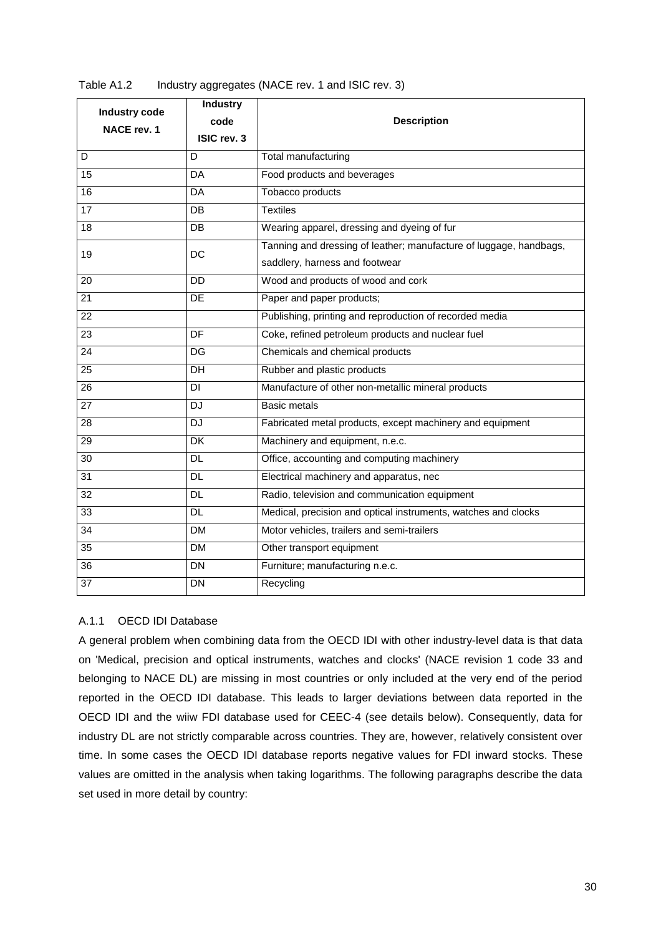| Industry code   | <b>Industry</b> |                                                                    |
|-----------------|-----------------|--------------------------------------------------------------------|
| NACE rev. 1     | code            | <b>Description</b>                                                 |
|                 | ISIC rev. 3     |                                                                    |
| D               | D               | Total manufacturing                                                |
| 15              | DA              | Food products and beverages                                        |
| 16              | DA              | Tobacco products                                                   |
| 17              | DB              | <b>Textiles</b>                                                    |
| $\overline{18}$ | DB              | Wearing apparel, dressing and dyeing of fur                        |
| 19              | DC              | Tanning and dressing of leather; manufacture of luggage, handbags, |
|                 |                 | saddlery, harness and footwear                                     |
| 20              | <b>DD</b>       | Wood and products of wood and cork                                 |
| $\overline{21}$ | DE              | Paper and paper products;                                          |
| $\overline{22}$ |                 | Publishing, printing and reproduction of recorded media            |
| $\overline{23}$ | DF              | Coke, refined petroleum products and nuclear fuel                  |
| 24              | DG              | Chemicals and chemical products                                    |
| $\overline{25}$ | DH              | Rubber and plastic products                                        |
| 26              | DI              | Manufacture of other non-metallic mineral products                 |
| 27              | <b>DJ</b>       | <b>Basic metals</b>                                                |
| 28              | <b>DJ</b>       | Fabricated metal products, except machinery and equipment          |
| 29              | $\overline{DK}$ | Machinery and equipment, n.e.c.                                    |
| $\overline{30}$ | <b>DL</b>       | Office, accounting and computing machinery                         |
| $\overline{31}$ | <b>DL</b>       | Electrical machinery and apparatus, nec                            |
| $\overline{32}$ | <b>DL</b>       | Radio, television and communication equipment                      |
| $\overline{33}$ | <b>DL</b>       | Medical, precision and optical instruments, watches and clocks     |
| $\overline{34}$ | <b>DM</b>       | Motor vehicles, trailers and semi-trailers                         |
| $\overline{35}$ | <b>DM</b>       | Other transport equipment                                          |
| $\overline{36}$ | <b>DN</b>       | Furniture; manufacturing n.e.c.                                    |
| 37              | <b>DN</b>       | Recycling                                                          |

| Table A1.2 | Industry aggregates (NACE rev. 1 and ISIC rev. 3) |  |
|------------|---------------------------------------------------|--|
|------------|---------------------------------------------------|--|

## A.1.1 OECD IDI Database

A general problem when combining data from the OECD IDI with other industry-level data is that data on 'Medical, precision and optical instruments, watches and clocks' (NACE revision 1 code 33 and belonging to NACE DL) are missing in most countries or only included at the very end of the period reported in the OECD IDI database. This leads to larger deviations between data reported in the OECD IDI and the wiiw FDI database used for CEEC-4 (see details below). Consequently, data for industry DL are not strictly comparable across countries. They are, however, relatively consistent over time. In some cases the OECD IDI database reports negative values for FDI inward stocks. These values are omitted in the analysis when taking logarithms. The following paragraphs describe the data set used in more detail by country: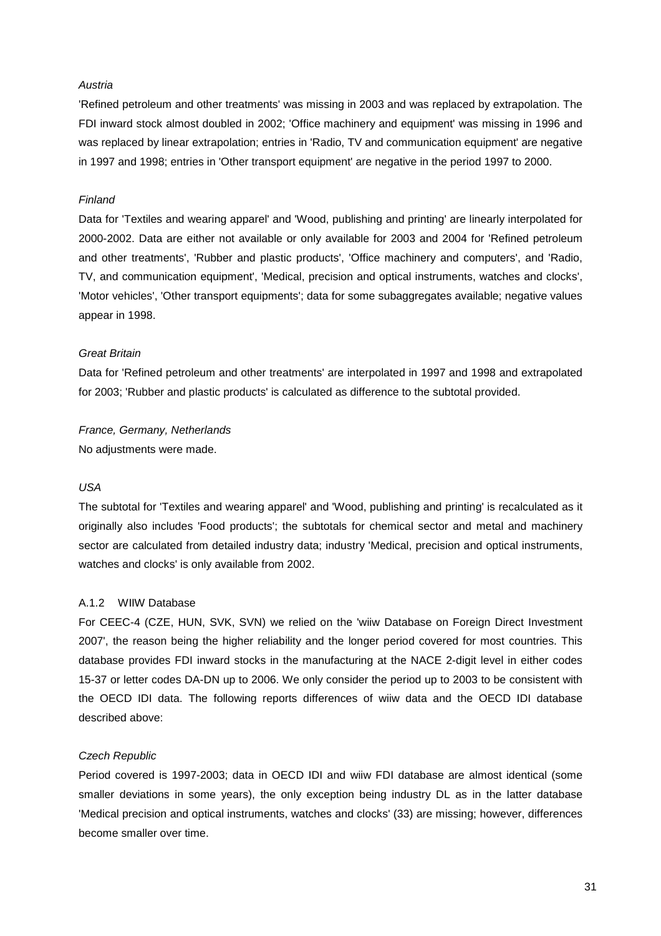#### **Austria**

'Refined petroleum and other treatments' was missing in 2003 and was replaced by extrapolation. The FDI inward stock almost doubled in 2002; 'Office machinery and equipment' was missing in 1996 and was replaced by linear extrapolation; entries in 'Radio, TV and communication equipment' are negative in 1997 and 1998; entries in 'Other transport equipment' are negative in the period 1997 to 2000.

## Finland

Data for 'Textiles and wearing apparel' and 'Wood, publishing and printing' are linearly interpolated for 2000-2002. Data are either not available or only available for 2003 and 2004 for 'Refined petroleum and other treatments', 'Rubber and plastic products', 'Office machinery and computers', and 'Radio, TV, and communication equipment', 'Medical, precision and optical instruments, watches and clocks', 'Motor vehicles', 'Other transport equipments'; data for some subaggregates available; negative values appear in 1998.

#### Great Britain

Data for 'Refined petroleum and other treatments' are interpolated in 1997 and 1998 and extrapolated for 2003; 'Rubber and plastic products' is calculated as difference to the subtotal provided.

France, Germany, Netherlands No adjustments were made.

## USA

The subtotal for 'Textiles and wearing apparel' and 'Wood, publishing and printing' is recalculated as it originally also includes 'Food products'; the subtotals for chemical sector and metal and machinery sector are calculated from detailed industry data; industry 'Medical, precision and optical instruments, watches and clocks' is only available from 2002.

## A.1.2 WIIW Database

For CEEC-4 (CZE, HUN, SVK, SVN) we relied on the 'wiiw Database on Foreign Direct Investment 2007', the reason being the higher reliability and the longer period covered for most countries. This database provides FDI inward stocks in the manufacturing at the NACE 2-digit level in either codes 15-37 or letter codes DA-DN up to 2006. We only consider the period up to 2003 to be consistent with the OECD IDI data. The following reports differences of wiiw data and the OECD IDI database described above:

#### Czech Republic

Period covered is 1997-2003; data in OECD IDI and wiiw FDI database are almost identical (some smaller deviations in some years), the only exception being industry DL as in the latter database 'Medical precision and optical instruments, watches and clocks' (33) are missing; however, differences become smaller over time.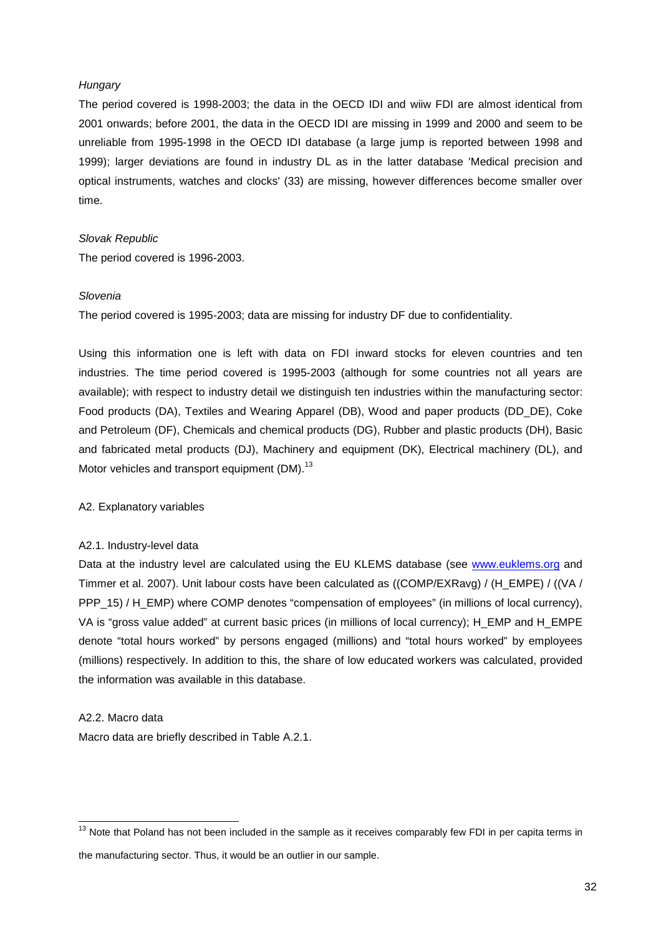#### **Hungary**

The period covered is 1998-2003; the data in the OECD IDI and wiiw FDI are almost identical from 2001 onwards; before 2001, the data in the OECD IDI are missing in 1999 and 2000 and seem to be unreliable from 1995-1998 in the OECD IDI database (a large jump is reported between 1998 and 1999); larger deviations are found in industry DL as in the latter database 'Medical precision and optical instruments, watches and clocks' (33) are missing, however differences become smaller over time.

#### Slovak Republic

The period covered is 1996-2003.

#### Slovenia

The period covered is 1995-2003; data are missing for industry DF due to confidentiality.

Using this information one is left with data on FDI inward stocks for eleven countries and ten industries. The time period covered is 1995-2003 (although for some countries not all years are available); with respect to industry detail we distinguish ten industries within the manufacturing sector: Food products (DA), Textiles and Wearing Apparel (DB), Wood and paper products (DD\_DE), Coke and Petroleum (DF), Chemicals and chemical products (DG), Rubber and plastic products (DH), Basic and fabricated metal products (DJ), Machinery and equipment (DK), Electrical machinery (DL), and Motor vehicles and transport equipment (DM).<sup>13</sup>

#### A2. Explanatory variables

## A2.1. Industry-level data

Data at the industry level are calculated using the EU KLEMS database (see www.euklems.org and Timmer et al. 2007). Unit labour costs have been calculated as ((COMP/EXRavg) / (H\_EMPE) / ((VA / PPP\_15) / H\_EMP) where COMP denotes "compensation of employees" (in millions of local currency), VA is "gross value added" at current basic prices (in millions of local currency); H\_EMP and H\_EMPE denote "total hours worked" by persons engaged (millions) and "total hours worked" by employees (millions) respectively. In addition to this, the share of low educated workers was calculated, provided the information was available in this database.

#### A2.2. Macro data

 $\overline{a}$ 

Macro data are briefly described in Table A.2.1.

 $13$  Note that Poland has not been included in the sample as it receives comparably few FDI in per capita terms in the manufacturing sector. Thus, it would be an outlier in our sample.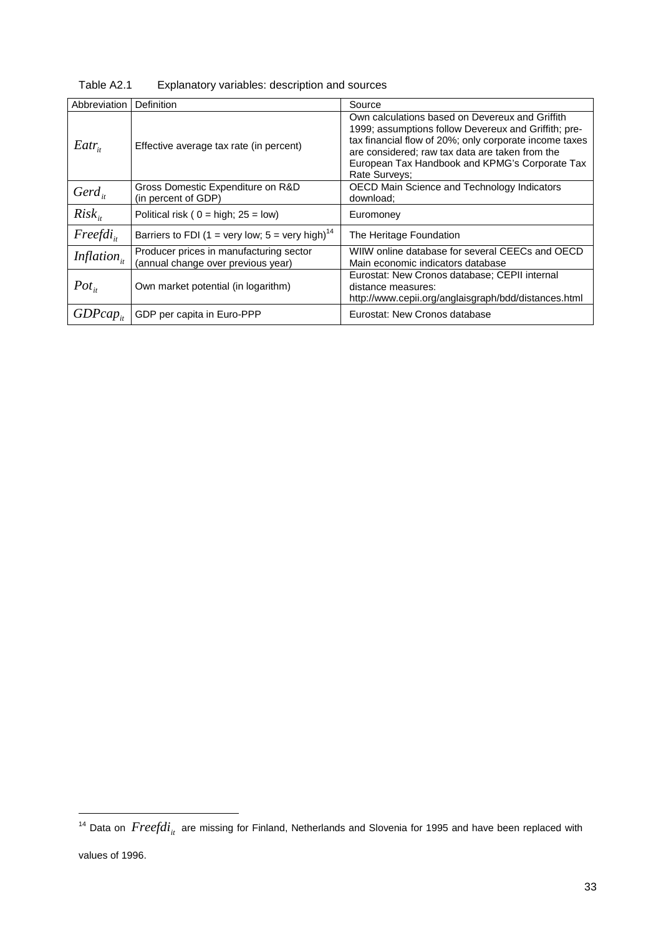| Abbreviation            | Definition                                                                    | Source                                                                                                                                                                                                                                                                                  |
|-------------------------|-------------------------------------------------------------------------------|-----------------------------------------------------------------------------------------------------------------------------------------------------------------------------------------------------------------------------------------------------------------------------------------|
| $Eatr_{i}$              | Effective average tax rate (in percent)                                       | Own calculations based on Devereux and Griffith<br>1999; assumptions follow Devereux and Griffith; pre-<br>tax financial flow of 20%; only corporate income taxes<br>are considered; raw tax data are taken from the<br>European Tax Handbook and KPMG's Corporate Tax<br>Rate Surveys: |
| $Gerd_{it}$             | Gross Domestic Expenditure on R&D<br>(in percent of GDP)                      | OECD Main Science and Technology Indicators<br>download:                                                                                                                                                                                                                                |
| $Risk_{i}$              | Political risk ( $0 = high$ ; $25 = low$ )                                    | Euromoney                                                                                                                                                                                                                                                                               |
| $Freefdi_{ii}$          | Barriers to FDI (1 = very low; 5 = very high) <sup>14</sup>                   | The Heritage Foundation                                                                                                                                                                                                                                                                 |
| Inflation <sub>it</sub> | Producer prices in manufacturing sector<br>(annual change over previous year) | WIIW online database for several CEECs and OECD<br>Main economic indicators database                                                                                                                                                                                                    |
| $Pot_{it}$              | Own market potential (in logarithm)                                           | Eurostat: New Cronos database; CEPII internal<br>distance measures:<br>http://www.cepii.org/anglaisgraph/bdd/distances.html                                                                                                                                                             |
| $GDPcap_{it}$           | GDP per capita in Euro-PPP                                                    | Eurostat: New Cronos database                                                                                                                                                                                                                                                           |

Table A2.1 Explanatory variables: description and sources

l

<sup>&</sup>lt;sup>14</sup> Data on  $\emph{Freefdi}_{it}$  are missing for Finland, Netherlands and Slovenia for 1995 and have been replaced with values of 1996.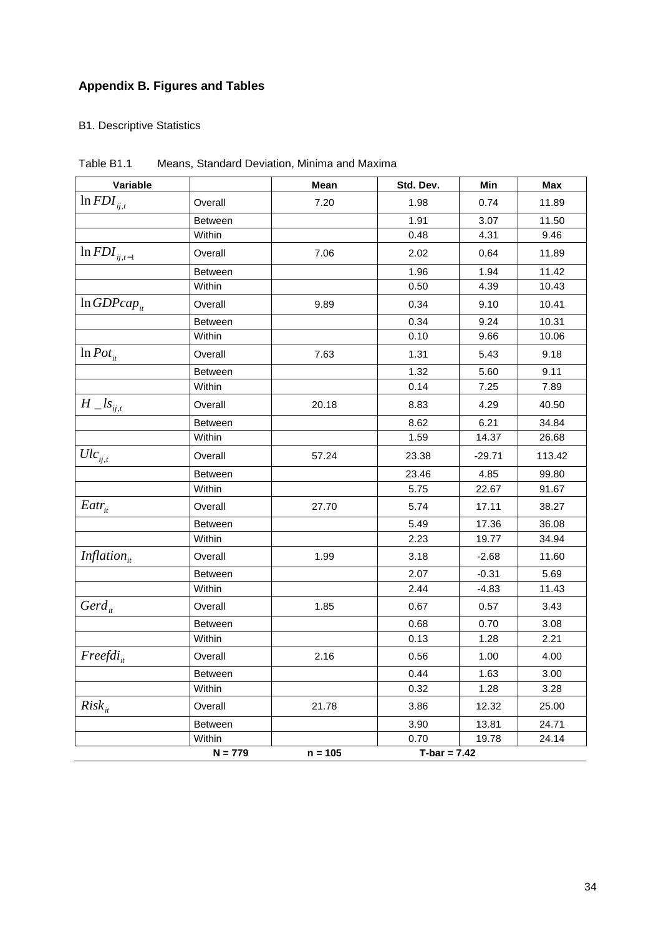## **Appendix B. Figures and Tables**

## B1. Descriptive Statistics

| Variable                 |                | <b>Mean</b> | Std. Dev.      | Min      | <b>Max</b> |
|--------------------------|----------------|-------------|----------------|----------|------------|
| $ln FDI_{ij,t}$          | Overall        | 7.20        | 1.98           | 0.74     | 11.89      |
|                          | <b>Between</b> |             | 1.91           | 3.07     | 11.50      |
|                          | Within         |             | 0.48           | 4.31     | 9.46       |
| $\ln\text{FDI}_{ij,t-1}$ | Overall        | 7.06        | 2.02           | 0.64     | 11.89      |
|                          | Between        |             | 1.96           | 1.94     | 11.42      |
|                          | Within         |             | 0.50           | 4.39     | 10.43      |
| $ln GDPcap_{it}$         | Overall        | 9.89        | 0.34           | 9.10     | 10.41      |
|                          | <b>Between</b> |             | 0.34           | 9.24     | 10.31      |
|                          | Within         |             | 0.10           | 9.66     | 10.06      |
| $\ln Pot_{it}$           | Overall        | 7.63        | 1.31           | 5.43     | 9.18       |
|                          | <b>Between</b> |             | 1.32           | 5.60     | 9.11       |
|                          | Within         |             | 0.14           | 7.25     | 7.89       |
| $H\_{ls_{ij,t}}$         | Overall        | 20.18       | 8.83           | 4.29     | 40.50      |
|                          | <b>Between</b> |             | 8.62           | 6.21     | 34.84      |
|                          | Within         |             | 1.59           | 14.37    | 26.68      |
| $Ulc_{_{ij,t}}$          | Overall        | 57.24       | 23.38          | $-29.71$ | 113.42     |
|                          | Between        |             | 23.46          | 4.85     | 99.80      |
|                          | Within         |             | 5.75           | 22.67    | 91.67      |
| $Eatr_{it}$              | Overall        | 27.70       | 5.74           | 17.11    | 38.27      |
|                          | <b>Between</b> |             | 5.49           | 17.36    | 36.08      |
|                          | Within         |             | 2.23           | 19.77    | 34.94      |
| Inflation $_{it}$        | Overall        | 1.99        | 3.18           | $-2.68$  | 11.60      |
|                          | <b>Between</b> |             | 2.07           | $-0.31$  | 5.69       |
|                          | Within         |             | 2.44           | $-4.83$  | 11.43      |
| $Gerd_{it}$              | Overall        | 1.85        | 0.67           | 0.57     | 3.43       |
|                          | <b>Between</b> |             | 0.68           | 0.70     | 3.08       |
|                          | Within         |             | 0.13           | 1.28     | 2.21       |
| Freefdi <sub>it</sub>    | Overall        | 2.16        | 0.56           | 1.00     | 4.00       |
|                          | Between        |             | 0.44           | 1.63     | 3.00       |
|                          | Within         |             | 0.32           | 1.28     | 3.28       |
| $Risk_{it}$              | Overall        | 21.78       | 3.86           | 12.32    | 25.00      |
|                          | Between        |             | 3.90           | 13.81    | 24.71      |
|                          | Within         |             | 0.70           | 19.78    | 24.14      |
|                          | $N = 779$      | $n = 105$   | $T-bar = 7.42$ |          |            |

Table B1.1 Means, Standard Deviation, Minima and Maxima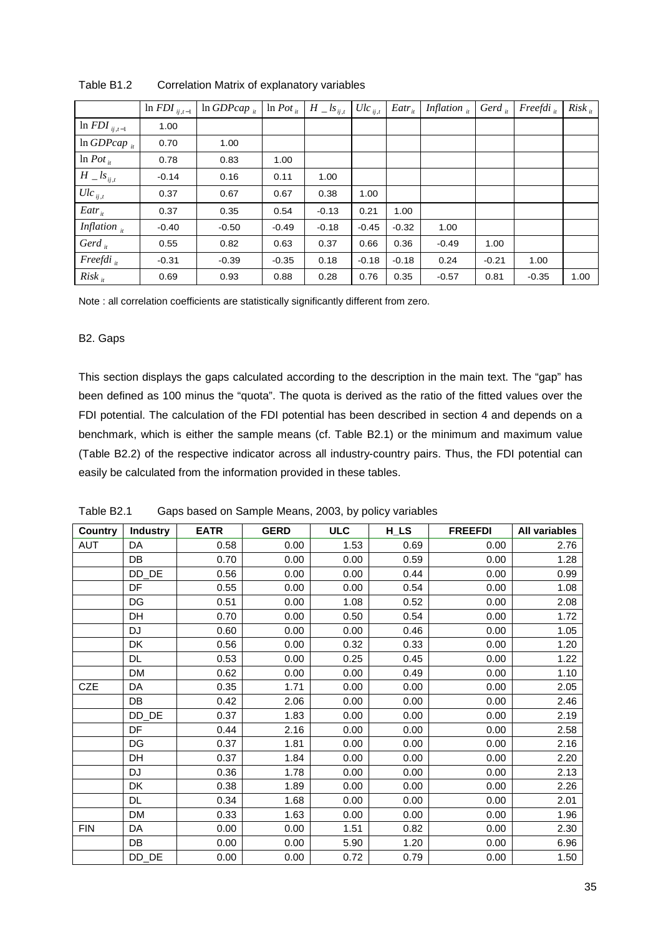|                                | $\ln FDI_{ij,t-1}$ | $\ln GDPcap_{ii}$ | $\ln$ <i>Pot</i> <sub>it</sub> | $H \_ls_{ij,t}$ | $Ulc_{ij,t}$ | $Eatr_{it}$ | Inflation $\mu$ | Gerd <sub>it</sub> | $Freefdi_{ii}$ | $Risk_{it}$ |
|--------------------------------|--------------------|-------------------|--------------------------------|-----------------|--------------|-------------|-----------------|--------------------|----------------|-------------|
| $\ln FDI_{ij,t-1}$             | 1.00               |                   |                                |                 |              |             |                 |                    |                |             |
| $\ln GDPcap_{it}$              | 0.70               | 1.00              |                                |                 |              |             |                 |                    |                |             |
| $\ln$ <i>Pot</i> <sub>it</sub> | 0.78               | 0.83              | 1.00                           |                 |              |             |                 |                    |                |             |
| $H \_ls_{ij,t}$                | $-0.14$            | 0.16              | 0.11                           | 1.00            |              |             |                 |                    |                |             |
| $Ulc_{ij,t}$                   | 0.37               | 0.67              | 0.67                           | 0.38            | 1.00         |             |                 |                    |                |             |
| $Eatr_{it}$                    | 0.37               | 0.35              | 0.54                           | $-0.13$         | 0.21         | 1.00        |                 |                    |                |             |
| Inflation $\frac{1}{u}$        | $-0.40$            | $-0.50$           | $-0.49$                        | $-0.18$         | $-0.45$      | $-0.32$     | 1.00            |                    |                |             |
| Gerd $_{it}$                   | 0.55               | 0.82              | 0.63                           | 0.37            | 0.66         | 0.36        | $-0.49$         | 1.00               |                |             |
| $Freefdi_{it}$                 | $-0.31$            | $-0.39$           | $-0.35$                        | 0.18            | $-0.18$      | $-0.18$     | 0.24            | $-0.21$            | 1.00           |             |
| $Risk_{it}$                    | 0.69               | 0.93              | 0.88                           | 0.28            | 0.76         | 0.35        | $-0.57$         | 0.81               | $-0.35$        | 1.00        |

Table B1.2 Correlation Matrix of explanatory variables

Note : all correlation coefficients are statistically significantly different from zero.

#### B2. Gaps

This section displays the gaps calculated according to the description in the main text. The "gap" has been defined as 100 minus the "quota". The quota is derived as the ratio of the fitted values over the FDI potential. The calculation of the FDI potential has been described in section 4 and depends on a benchmark, which is either the sample means (cf. Table B2.1) or the minimum and maximum value (Table B2.2) of the respective indicator across all industry-country pairs. Thus, the FDI potential can easily be calculated from the information provided in these tables.

| <b>Country</b> | <b>Industry</b>       | <b>EATR</b> | <b>GERD</b> | <b>ULC</b> | $H_L$ | <b>FREEFDI</b> | All variables |
|----------------|-----------------------|-------------|-------------|------------|-------|----------------|---------------|
| AUT            | DA                    | 0.58        | 0.00        | 1.53       | 0.69  | 0.00           | 2.76          |
|                | DB                    | 0.70        | 0.00        | 0.00       | 0.59  | 0.00           | 1.28          |
|                | DD_DE                 | 0.56        | 0.00        | 0.00       | 0.44  | 0.00           | 0.99          |
|                | DF                    | 0.55        | 0.00        | 0.00       | 0.54  | 0.00           | 1.08          |
|                | DG                    | 0.51        | 0.00        | 1.08       | 0.52  | 0.00           | 2.08          |
|                | DH                    | 0.70        | 0.00        | 0.50       | 0.54  | 0.00           | 1.72          |
|                | DJ                    | 0.60        | 0.00        | 0.00       | 0.46  | 0.00           | 1.05          |
|                | DK                    | 0.56        | 0.00        | 0.32       | 0.33  | 0.00           | 1.20          |
|                | <b>DL</b>             | 0.53        | 0.00        | 0.25       | 0.45  | 0.00           | 1.22          |
|                | <b>DM</b>             | 0.62        | 0.00        | 0.00       | 0.49  | 0.00           | 1.10          |
| <b>CZE</b>     | DA                    | 0.35        | 1.71        | 0.00       | 0.00  | 0.00           | 2.05          |
|                | DB                    | 0.42        | 2.06        | 0.00       | 0.00  | 0.00           | 2.46          |
|                | DD_DE                 | 0.37        | 1.83        | 0.00       | 0.00  | 0.00           | 2.19          |
|                | DF                    | 0.44        | 2.16        | 0.00       | 0.00  | 0.00           | 2.58          |
|                | DG                    | 0.37        | 1.81        | 0.00       | 0.00  | 0.00           | 2.16          |
|                | DH                    | 0.37        | 1.84        | 0.00       | 0.00  | 0.00           | 2.20          |
|                | <b>DJ</b>             | 0.36        | 1.78        | 0.00       | 0.00  | 0.00           | 2.13          |
|                | DK                    | 0.38        | 1.89        | 0.00       | 0.00  | 0.00           | 2.26          |
|                | DL                    | 0.34        | 1.68        | 0.00       | 0.00  | 0.00           | 2.01          |
|                | <b>DM</b>             | 0.33        | 1.63        | 0.00       | 0.00  | 0.00           | 1.96          |
| <b>FIN</b>     | DA                    | 0.00        | 0.00        | 1.51       | 0.82  | 0.00           | 2.30          |
|                | <b>DB</b>             | 0.00        | 0.00        | 5.90       | 1.20  | 0.00           | 6.96          |
|                | $DD$ <sub></sub> $DE$ | 0.00        | 0.00        | 0.72       | 0.79  | 0.00           | 1.50          |

Table B2.1 Gaps based on Sample Means, 2003, by policy variables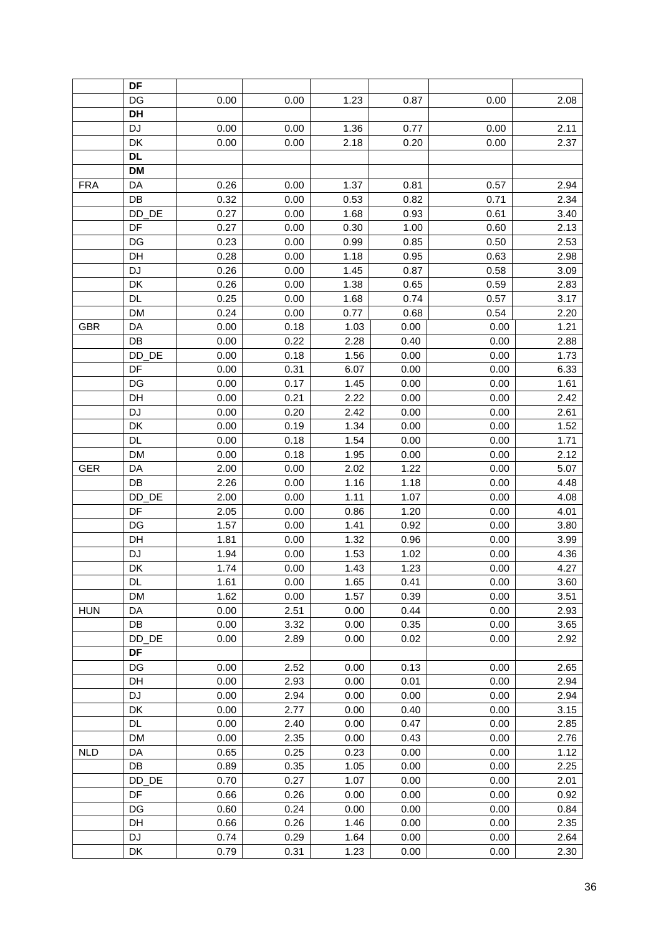|            | DF        |      |      |      |      |      |      |
|------------|-----------|------|------|------|------|------|------|
|            | DG        | 0.00 | 0.00 | 1.23 | 0.87 | 0.00 | 2.08 |
|            | DH        |      |      |      |      |      |      |
|            | <b>DJ</b> | 0.00 | 0.00 | 1.36 | 0.77 | 0.00 | 2.11 |
|            | DK        | 0.00 | 0.00 | 2.18 | 0.20 | 0.00 | 2.37 |
|            | <b>DL</b> |      |      |      |      |      |      |
|            | <b>DM</b> |      |      |      |      |      |      |
| <b>FRA</b> | DA        | 0.26 | 0.00 | 1.37 | 0.81 | 0.57 | 2.94 |
|            | DB        | 0.32 | 0.00 | 0.53 | 0.82 | 0.71 | 2.34 |
|            | DD_DE     | 0.27 | 0.00 | 1.68 | 0.93 | 0.61 | 3.40 |
|            | DF        | 0.27 | 0.00 | 0.30 | 1.00 | 0.60 | 2.13 |
|            | DG        | 0.23 | 0.00 | 0.99 | 0.85 | 0.50 | 2.53 |
|            | DH        | 0.28 | 0.00 | 1.18 | 0.95 | 0.63 | 2.98 |
|            | <b>DJ</b> | 0.26 | 0.00 | 1.45 | 0.87 | 0.58 | 3.09 |
|            | DK        | 0.26 | 0.00 | 1.38 | 0.65 | 0.59 | 2.83 |
|            | DL        | 0.25 | 0.00 | 1.68 | 0.74 | 0.57 | 3.17 |
|            | <b>DM</b> | 0.24 | 0.00 | 0.77 | 0.68 | 0.54 | 2.20 |
| <b>GBR</b> | DA        | 0.00 | 0.18 | 1.03 | 0.00 | 0.00 | 1.21 |
|            | DB        | 0.00 | 0.22 | 2.28 | 0.40 | 0.00 | 2.88 |
|            | DD_DE     | 0.00 | 0.18 | 1.56 | 0.00 | 0.00 | 1.73 |
|            | DF        | 0.00 | 0.31 | 6.07 | 0.00 | 0.00 | 6.33 |
|            | DG        | 0.00 | 0.17 | 1.45 | 0.00 | 0.00 | 1.61 |
|            | DH        | 0.00 | 0.21 | 2.22 | 0.00 | 0.00 | 2.42 |
|            | <b>DJ</b> | 0.00 | 0.20 | 2.42 | 0.00 | 0.00 | 2.61 |
|            | DK        | 0.00 | 0.19 | 1.34 | 0.00 | 0.00 | 1.52 |
|            | <b>DL</b> | 0.00 | 0.18 | 1.54 | 0.00 | 0.00 | 1.71 |
|            | <b>DM</b> | 0.00 | 0.18 | 1.95 | 0.00 | 0.00 | 2.12 |
| <b>GER</b> | DA        | 2.00 | 0.00 | 2.02 | 1.22 | 0.00 | 5.07 |
|            | DB        | 2.26 | 0.00 | 1.16 | 1.18 | 0.00 | 4.48 |
|            | DD_DE     | 2.00 | 0.00 | 1.11 | 1.07 | 0.00 | 4.08 |
|            | DF        | 2.05 | 0.00 | 0.86 | 1.20 | 0.00 | 4.01 |
|            | DG        | 1.57 | 0.00 | 1.41 | 0.92 | 0.00 | 3.80 |
|            | DH        | 1.81 | 0.00 | 1.32 | 0.96 | 0.00 | 3.99 |
|            | DJ        | 1.94 | 0.00 | 1.53 | 1.02 | 0.00 | 4.36 |
|            | DK        | 1.74 | 0.00 | 1.43 | 1.23 | 0.00 | 4.27 |
|            | DL        | 1.61 | 0.00 | 1.65 | 0.41 | 0.00 | 3.60 |
|            | <b>DM</b> | 1.62 | 0.00 | 1.57 | 0.39 | 0.00 | 3.51 |
| <b>HUN</b> | DA        | 0.00 | 2.51 | 0.00 | 0.44 | 0.00 | 2.93 |
|            | DB        | 0.00 | 3.32 | 0.00 | 0.35 | 0.00 | 3.65 |
|            | DD_DE     | 0.00 | 2.89 | 0.00 | 0.02 | 0.00 | 2.92 |
|            | DF        |      |      |      |      |      |      |
|            | DG        | 0.00 | 2.52 | 0.00 | 0.13 | 0.00 | 2.65 |
|            | DH        | 0.00 | 2.93 | 0.00 | 0.01 | 0.00 | 2.94 |
|            | DJ        | 0.00 | 2.94 | 0.00 | 0.00 | 0.00 | 2.94 |
|            | DK        | 0.00 | 2.77 | 0.00 | 0.40 | 0.00 | 3.15 |
|            | <b>DL</b> | 0.00 | 2.40 | 0.00 | 0.47 | 0.00 | 2.85 |
|            | <b>DM</b> | 0.00 | 2.35 | 0.00 | 0.43 | 0.00 | 2.76 |
| <b>NLD</b> | DA        | 0.65 | 0.25 | 0.23 | 0.00 | 0.00 | 1.12 |
|            | DB        | 0.89 | 0.35 | 1.05 | 0.00 | 0.00 | 2.25 |
|            | DD_DE     | 0.70 | 0.27 | 1.07 | 0.00 | 0.00 | 2.01 |
|            | DF        | 0.66 | 0.26 | 0.00 | 0.00 | 0.00 | 0.92 |
|            | DG<br>DH  | 0.60 | 0.24 | 0.00 | 0.00 | 0.00 | 0.84 |
|            |           | 0.66 | 0.26 | 1.46 | 0.00 | 0.00 | 2.35 |
|            | DJ        | 0.74 | 0.29 | 1.64 | 0.00 | 0.00 | 2.64 |
|            | DK        | 0.79 | 0.31 | 1.23 | 0.00 | 0.00 | 2.30 |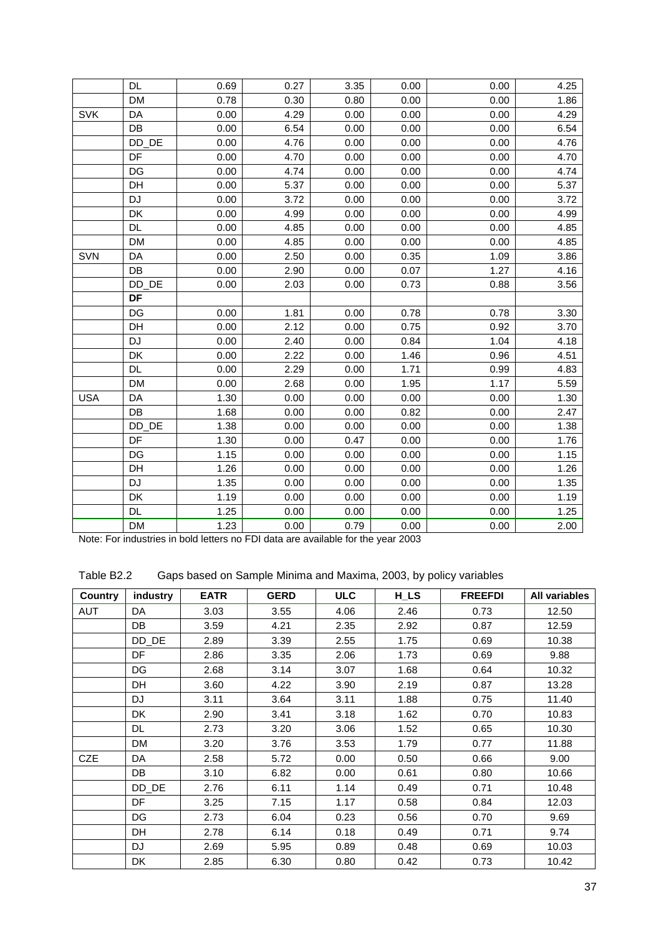|            | <b>DL</b> | 0.69 | 0.27 | 3.35 | 0.00 | 0.00 | 4.25 |
|------------|-----------|------|------|------|------|------|------|
|            | <b>DM</b> | 0.78 | 0.30 | 0.80 | 0.00 | 0.00 | 1.86 |
| <b>SVK</b> | DA        | 0.00 | 4.29 | 0.00 | 0.00 | 0.00 | 4.29 |
|            | DB        | 0.00 | 6.54 | 0.00 | 0.00 | 0.00 | 6.54 |
|            | DD_DE     | 0.00 | 4.76 | 0.00 | 0.00 | 0.00 | 4.76 |
|            | DF        | 0.00 | 4.70 | 0.00 | 0.00 | 0.00 | 4.70 |
|            | DG        | 0.00 | 4.74 | 0.00 | 0.00 | 0.00 | 4.74 |
|            | DH        | 0.00 | 5.37 | 0.00 | 0.00 | 0.00 | 5.37 |
|            | <b>DJ</b> | 0.00 | 3.72 | 0.00 | 0.00 | 0.00 | 3.72 |
|            | DK        | 0.00 | 4.99 | 0.00 | 0.00 | 0.00 | 4.99 |
|            | <b>DL</b> | 0.00 | 4.85 | 0.00 | 0.00 | 0.00 | 4.85 |
|            | <b>DM</b> | 0.00 | 4.85 | 0.00 | 0.00 | 0.00 | 4.85 |
| SVN        | DA        | 0.00 | 2.50 | 0.00 | 0.35 | 1.09 | 3.86 |
|            | DB        | 0.00 | 2.90 | 0.00 | 0.07 | 1.27 | 4.16 |
|            | DD_DE     | 0.00 | 2.03 | 0.00 | 0.73 | 0.88 | 3.56 |
|            | DF        |      |      |      |      |      |      |
|            | DG        | 0.00 | 1.81 | 0.00 | 0.78 | 0.78 | 3.30 |
|            | DH        | 0.00 | 2.12 | 0.00 | 0.75 | 0.92 | 3.70 |
|            | <b>DJ</b> | 0.00 | 2.40 | 0.00 | 0.84 | 1.04 | 4.18 |
|            | DK        | 0.00 | 2.22 | 0.00 | 1.46 | 0.96 | 4.51 |
|            | <b>DL</b> | 0.00 | 2.29 | 0.00 | 1.71 | 0.99 | 4.83 |
|            | <b>DM</b> | 0.00 | 2.68 | 0.00 | 1.95 | 1.17 | 5.59 |
| <b>USA</b> | DA        | 1.30 | 0.00 | 0.00 | 0.00 | 0.00 | 1.30 |
|            | DB        | 1.68 | 0.00 | 0.00 | 0.82 | 0.00 | 2.47 |
|            | DD_DE     | 1.38 | 0.00 | 0.00 | 0.00 | 0.00 | 1.38 |
|            | DF        | 1.30 | 0.00 | 0.47 | 0.00 | 0.00 | 1.76 |
|            | DG        | 1.15 | 0.00 | 0.00 | 0.00 | 0.00 | 1.15 |
|            | DH        | 1.26 | 0.00 | 0.00 | 0.00 | 0.00 | 1.26 |
|            | <b>DJ</b> | 1.35 | 0.00 | 0.00 | 0.00 | 0.00 | 1.35 |
|            | DK        | 1.19 | 0.00 | 0.00 | 0.00 | 0.00 | 1.19 |
|            | DL        | 1.25 | 0.00 | 0.00 | 0.00 | 0.00 | 1.25 |
|            | <b>DM</b> | 1.23 | 0.00 | 0.79 | 0.00 | 0.00 | 2.00 |

Note: For industries in bold letters no FDI data are available for the year 2003

| Gaps based on Sample Minima and Maxima, 2003, by policy variables | Table B2.2 |  |  |  |  |  |
|-------------------------------------------------------------------|------------|--|--|--|--|--|
|-------------------------------------------------------------------|------------|--|--|--|--|--|

| <b>Country</b> | industry  | <b>EATR</b> | <b>GERD</b> | <b>ULC</b> | H_LS | <b>FREEFDI</b> | All variables |
|----------------|-----------|-------------|-------------|------------|------|----------------|---------------|
| AUT            | DA        | 3.03        | 3.55        | 4.06       | 2.46 | 0.73           | 12.50         |
|                | DB        | 3.59        | 4.21        | 2.35       | 2.92 | 0.87           | 12.59         |
|                | DD_DE     | 2.89        | 3.39        | 2.55       | 1.75 | 0.69           | 10.38         |
|                | DF        | 2.86        | 3.35        | 2.06       | 1.73 | 0.69           | 9.88          |
|                | DG        | 2.68        | 3.14        | 3.07       | 1.68 | 0.64           | 10.32         |
|                | <b>DH</b> | 3.60        | 4.22        | 3.90       | 2.19 | 0.87           | 13.28         |
|                | <b>DJ</b> | 3.11        | 3.64        | 3.11       | 1.88 | 0.75           | 11.40         |
|                | DK.       | 2.90        | 3.41        | 3.18       | 1.62 | 0.70           | 10.83         |
|                | DL.       | 2.73        | 3.20        | 3.06       | 1.52 | 0.65           | 10.30         |
|                | DM        | 3.20        | 3.76        | 3.53       | 1.79 | 0.77           | 11.88         |
| <b>CZE</b>     | DA        | 2.58        | 5.72        | 0.00       | 0.50 | 0.66           | 9.00          |
|                | DB        | 3.10        | 6.82        | 0.00       | 0.61 | 0.80           | 10.66         |
|                | $DD_DE$   | 2.76        | 6.11        | 1.14       | 0.49 | 0.71           | 10.48         |
|                | <b>DF</b> | 3.25        | 7.15        | 1.17       | 0.58 | 0.84           | 12.03         |
|                | DG        | 2.73        | 6.04        | 0.23       | 0.56 | 0.70           | 9.69          |
|                | DH        | 2.78        | 6.14        | 0.18       | 0.49 | 0.71           | 9.74          |
|                | DJ        | 2.69        | 5.95        | 0.89       | 0.48 | 0.69           | 10.03         |
|                | DK        | 2.85        | 6.30        | 0.80       | 0.42 | 0.73           | 10.42         |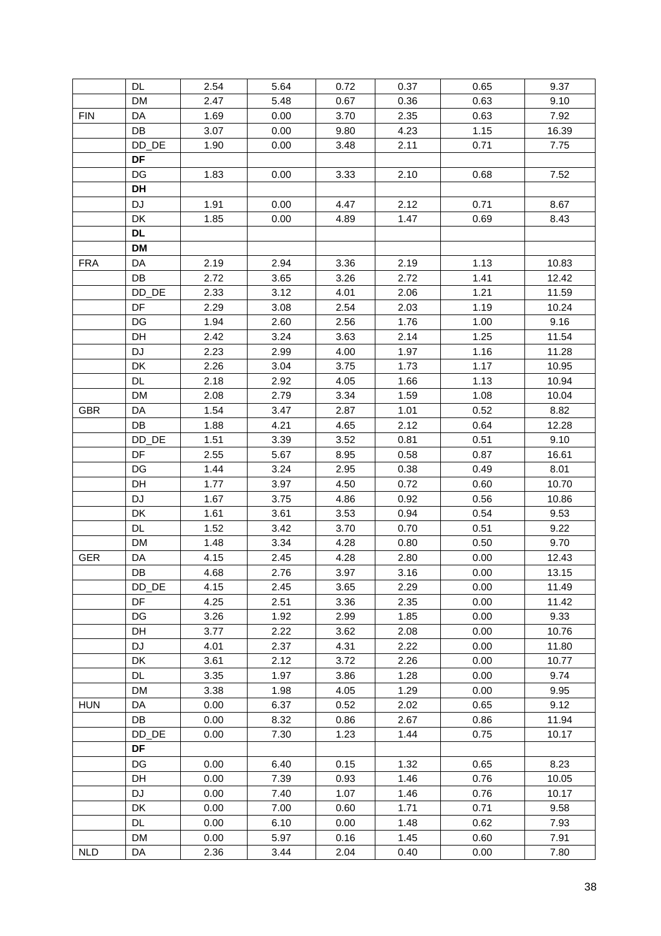|            | DL.                    | 2.54 | 5.64 | 0.72 | 0.37 | 0.65 | 9.37  |
|------------|------------------------|------|------|------|------|------|-------|
|            | DM                     | 2.47 | 5.48 | 0.67 | 0.36 | 0.63 | 9.10  |
| <b>FIN</b> | DA                     | 1.69 | 0.00 | 3.70 | 2.35 | 0.63 | 7.92  |
|            | DB                     | 3.07 | 0.00 | 9.80 | 4.23 | 1.15 | 16.39 |
|            | DD_DE                  | 1.90 | 0.00 | 3.48 | 2.11 | 0.71 | 7.75  |
|            | DF                     |      |      |      |      |      |       |
|            | DG                     | 1.83 | 0.00 | 3.33 | 2.10 | 0.68 | 7.52  |
|            | DH                     |      |      |      |      |      |       |
|            | <b>DJ</b>              | 1.91 | 0.00 | 4.47 | 2.12 | 0.71 | 8.67  |
|            | DK                     | 1.85 | 0.00 | 4.89 | 1.47 | 0.69 | 8.43  |
|            | <b>DL</b>              |      |      |      |      |      |       |
|            | <b>DM</b>              |      |      |      |      |      |       |
| <b>FRA</b> | DA                     | 2.19 | 2.94 | 3.36 | 2.19 | 1.13 | 10.83 |
|            | DB                     | 2.72 | 3.65 | 3.26 | 2.72 | 1.41 | 12.42 |
|            | DD_DE                  | 2.33 | 3.12 | 4.01 | 2.06 | 1.21 | 11.59 |
|            | DF                     | 2.29 | 3.08 | 2.54 | 2.03 | 1.19 | 10.24 |
|            | DG                     | 1.94 | 2.60 | 2.56 | 1.76 | 1.00 | 9.16  |
|            | DH                     | 2.42 | 3.24 | 3.63 | 2.14 | 1.25 | 11.54 |
|            | DJ                     | 2.23 | 2.99 | 4.00 | 1.97 | 1.16 | 11.28 |
|            | DK                     | 2.26 | 3.04 | 3.75 | 1.73 | 1.17 | 10.95 |
|            | DL                     | 2.18 | 2.92 | 4.05 | 1.66 | 1.13 | 10.94 |
|            | DM                     | 2.08 | 2.79 | 3.34 | 1.59 | 1.08 | 10.04 |
| <b>GBR</b> | DA                     | 1.54 | 3.47 | 2.87 | 1.01 | 0.52 | 8.82  |
|            | DB                     | 1.88 | 4.21 | 4.65 | 2.12 | 0.64 | 12.28 |
|            | DD_DE                  | 1.51 | 3.39 | 3.52 | 0.81 | 0.51 | 9.10  |
|            | DF                     | 2.55 | 5.67 | 8.95 | 0.58 | 0.87 | 16.61 |
|            | DG                     | 1.44 | 3.24 | 2.95 | 0.38 | 0.49 | 8.01  |
|            | DH                     | 1.77 | 3.97 | 4.50 | 0.72 | 0.60 | 10.70 |
|            | DJ                     | 1.67 | 3.75 | 4.86 | 0.92 | 0.56 | 10.86 |
|            | DK                     | 1.61 | 3.61 | 3.53 | 0.94 | 0.54 | 9.53  |
|            | DL                     | 1.52 | 3.42 | 3.70 | 0.70 | 0.51 | 9.22  |
|            | DM                     | 1.48 | 3.34 | 4.28 | 0.80 | 0.50 | 9.70  |
| GER        | DA                     | 4.15 | 2.45 | 4.28 | 2.80 | 0.00 | 12.43 |
|            | $\mathsf{D}\mathsf{B}$ | 4.68 | 2.76 | 3.97 | 3.16 | 0.00 | 13.15 |
|            | DD_DE                  | 4.15 | 2.45 | 3.65 | 2.29 | 0.00 | 11.49 |
|            | DF                     | 4.25 | 2.51 | 3.36 | 2.35 | 0.00 | 11.42 |
|            | DG                     | 3.26 | 1.92 | 2.99 | 1.85 | 0.00 | 9.33  |
|            | DH                     | 3.77 | 2.22 | 3.62 | 2.08 | 0.00 | 10.76 |
|            | DJ                     | 4.01 | 2.37 | 4.31 | 2.22 | 0.00 | 11.80 |
|            | DK                     | 3.61 | 2.12 | 3.72 | 2.26 | 0.00 | 10.77 |
|            | DL.                    | 3.35 | 1.97 | 3.86 | 1.28 | 0.00 | 9.74  |
|            | <b>DM</b>              | 3.38 | 1.98 | 4.05 | 1.29 | 0.00 | 9.95  |
| <b>HUN</b> | DA                     | 0.00 | 6.37 | 0.52 | 2.02 | 0.65 | 9.12  |
|            | DB                     | 0.00 | 8.32 | 0.86 | 2.67 | 0.86 | 11.94 |
|            | DD_DE                  | 0.00 | 7.30 | 1.23 | 1.44 | 0.75 | 10.17 |
|            | DF                     |      |      |      |      |      |       |
|            | DG                     | 0.00 | 6.40 | 0.15 | 1.32 | 0.65 | 8.23  |
|            | DH                     | 0.00 | 7.39 | 0.93 | 1.46 | 0.76 | 10.05 |
|            | DJ                     | 0.00 | 7.40 | 1.07 | 1.46 | 0.76 | 10.17 |
|            | DK                     | 0.00 | 7.00 | 0.60 | 1.71 | 0.71 | 9.58  |
|            | DL                     | 0.00 | 6.10 | 0.00 | 1.48 | 0.62 | 7.93  |
|            | <b>DM</b>              | 0.00 | 5.97 | 0.16 | 1.45 | 0.60 | 7.91  |
| <b>NLD</b> | DA                     | 2.36 | 3.44 | 2.04 | 0.40 | 0.00 | 7.80  |